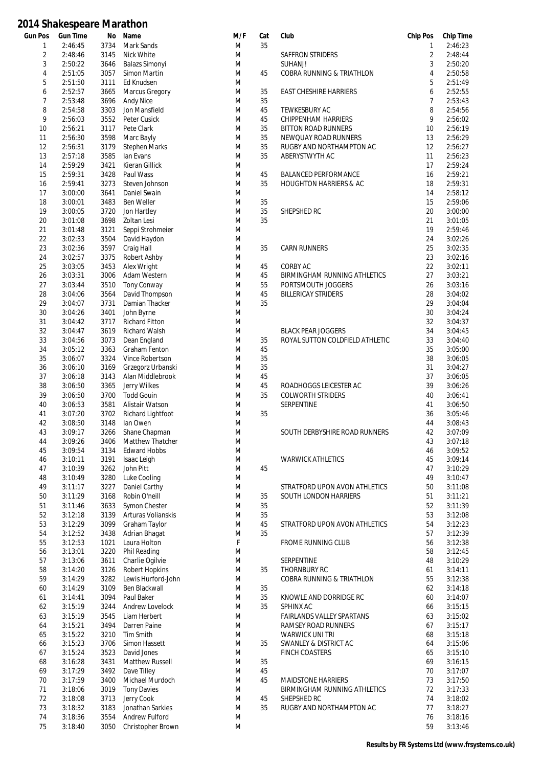| Gun Pos | <b>Gun Time</b>    | No           | Name                                  | M/F    | Cat | Club                                | <b>Chip Pos</b> | <b>Chip Time</b>   |
|---------|--------------------|--------------|---------------------------------------|--------|-----|-------------------------------------|-----------------|--------------------|
| 1       | 2:46:45            | 3734         | Mark Sands                            | M      | 35  |                                     | 1               | 2:46:23            |
| 2       | 2:48:46            | 3145         | Nick White                            | M      |     | SAFFRON STRIDERS                    | 2               | 2:48:44            |
| 3       | 2:50:22            | 3646<br>3057 | <b>Balazs Simonyi</b><br>Simon Martin | M      | 45  | SUHANJ!                             | 3               | 2:50:20            |
| 4       | 2:51:05            |              | Ed Knudsen                            | M<br>M |     | COBRA RUNNING & TRIATHLON           | 4<br>5          | 2:50:58<br>2:51:49 |
| 5<br>6  | 2:51:50<br>2:52:57 | 3111<br>3665 | Marcus Gregory                        | M      | 35  | <b>EAST CHESHIRE HARRIERS</b>       | 6               | 2:52:55            |
| 7       | 2:53:48            | 3696         | <b>Andy Nice</b>                      | M      | 35  |                                     | 7               | 2:53:43            |
| 8       | 2:54:58            | 3303         | Jon Mansfield                         | M      | 45  | TEWKESBURY AC                       | 8               | 2:54:56            |
| 9       | 2:56:03            | 3552         | Peter Cusick                          | M      | 45  | CHIPPENHAM HARRIERS                 | 9               | 2:56:02            |
| 10      | 2:56:21            | 3117         | Pete Clark                            | M      | 35  | <b>BITTON ROAD RUNNERS</b>          | 10              | 2:56:19            |
| 11      | 2:56:30            | 3598         | Marc Bayly                            | M      | 35  | NEWQUAY ROAD RUNNERS                | 13              | 2:56:29            |
| 12      | 2:56:31            | 3179         | <b>Stephen Marks</b>                  | M      | 35  | RUGBY AND NORTHAMPTON AC            | 12              | 2:56:27            |
| 13      | 2:57:18            | 3585         | lan Evans                             | M      | 35  | ABERYSTWYTH AC                      | 11              | 2:56:23            |
| 14      | 2:59:29            | 3421         | <b>Kieran Gillick</b>                 | M      |     |                                     | 17              | 2:59:24            |
| 15      | 2:59:31            | 3428         | Paul Wass                             | M      | 45  | <b>BALANCED PERFORMANCE</b>         | 16              | 2:59:21            |
| 16      | 2:59:41            | 3273         | Steven Johnson                        | M      | 35  | <b>HOUGHTON HARRIERS &amp; AC</b>   | 18              | 2:59:31            |
| 17      | 3:00:00            | 3641         | Daniel Swain                          | M      |     |                                     | 14              | 2:58:12            |
| 18      | 3:00:01            | 3483         | <b>Ben Weller</b>                     | M      | 35  |                                     | 15              | 2:59:06            |
| 19      | 3:00:05            | 3720         | Jon Hartley                           | M      | 35  | SHEPSHED RC                         | 20              | 3:00:00            |
| 20      | 3:01:08            | 3698         | Zoltan Lesi                           | M      | 35  |                                     | 21              | 3:01:05            |
| 21      | 3:01:48            | 3121         | Seppi Strohmeier                      | M      |     |                                     | 19              | 2:59:46            |
| 22      | 3:02:33            | 3504         | David Haydon                          | M      |     |                                     | 24              | 3:02:26            |
| 23      | 3:02:36            | 3597         | Craig Hall                            | M      | 35  | <b>CARN RUNNERS</b>                 | 25              | 3:02:35            |
| 24      | 3:02:57            | 3375         | Robert Ashby                          | M      |     |                                     | 23              | 3:02:16            |
| 25      | 3:03:05            | 3453         | Alex Wright                           | M      | 45  | CORBY AC                            | 22              | 3:02:11            |
| 26      | 3:03:31            | 3006         | Adam Western                          | M      | 45  | <b>BIRMINGHAM RUNNING ATHLETICS</b> | 27              | 3:03:21            |
| 27      | 3:03:44            | 3510         | <b>Tony Conway</b>                    | M      | 55  | PORTSMOUTH JOGGERS                  | 26              | 3:03:16            |
| 28      | 3:04:06            | 3564         | David Thompson                        | M      | 45  | <b>BILLERICAY STRIDERS</b>          | 28              | 3:04:02            |
| 29      | 3:04:07            | 3731         | Damian Thacker                        | M      | 35  |                                     | 29              | 3:04:04            |
| 30      | 3:04:26            | 3401         | John Byrne                            | M      |     |                                     | 30              | 3:04:24            |
| 31      | 3:04:42            | 3717         | <b>Richard Fitton</b>                 | M      |     |                                     | 32              | 3:04:37            |
| 32      | 3:04:47            | 3619         | Richard Walsh                         | M      |     | <b>BLACK PEAR JOGGERS</b>           | 34              | 3:04:45            |
| 33      | 3:04:56            | 3073         | Dean England                          | M      | 35  | ROYAL SUTTON COLDFIELD ATHLETIC     | 33              | 3:04:40            |
| 34      | 3:05:12            | 3363         | <b>Graham Fenton</b>                  | M      | 45  |                                     | 35              | 3:05:00            |
| 35      | 3:06:07            | 3324         | Vince Robertson                       | M      | 35  |                                     | 38              | 3:06:05            |
| 36      | 3:06:10            | 3169         | Grzegorz Urbanski                     | M      | 35  |                                     | 31              | 3:04:27            |
| 37      | 3:06:18            | 3143         | Alan Middlebrook                      | M      | 45  |                                     | 37              | 3:06:05            |
| 38      | 3:06:50            | 3365         | Jerry Wilkes                          | M      | 45  | ROADHOGGS LEICESTER AC              | 39              | 3:06:26            |
| 39      | 3:06:50            | 3700         | <b>Todd Gouin</b>                     | M      | 35  | <b>COLWORTH STRIDERS</b>            | 40              | 3:06:41            |
| 40      | 3:06:53            | 3581         | Alistair Watson                       | M      |     | SERPENTINE                          | 41              | 3:06:50            |
| 41      | 3:07:20            | 3702         | Richard Lightfoot                     | M      | 35  |                                     | 36              | 3:05:46            |
| 42      | 3:08:50            | 3148         | lan Owen                              | M      |     |                                     | 44              | 3:08:43            |
| 43      | 3:09:17            | 3266         | Shane Chapman                         | M      |     | SOUTH DERBYSHIRE ROAD RUNNERS       | 42              | 3:07:09            |
| 44      | 3:09:26            | 3406         | Matthew Thatcher                      | M      |     |                                     | 43              | 3:07:18            |
| 45      | 3:09:54            | 3134         | <b>Edward Hobbs</b>                   | M      |     |                                     | 46              | 3:09:52            |
| 46      | 3:10:11            | 3191         | Isaac Leigh                           | M      |     | <b>WARWICK ATHLETICS</b>            | 45              | 3:09:14            |
| 47      | 3:10:39            | 3262         | John Pitt                             | M      | 45  |                                     | 47              | 3:10:29            |
| 48      | 3:10:49            | 3280         | Luke Cooling                          | M      |     |                                     | 49              | 3:10:47            |
| 49      | 3:11:17            | 3227         | Daniel Carthy                         | M      |     | STRATFORD UPON AVON ATHLETICS       | 50              | 3:11:08            |
| 50      | 3:11:29            | 3168         | Robin O'neill                         | M      | 35  | SOUTH LONDON HARRIERS               | 51              | 3:11:21            |
| 51      | 3:11:46            | 3633         | Symon Chester                         | M      | 35  |                                     | 52              | 3:11:39            |
| 52      | 3:12:18            | 3139         | Arturas Volianskis                    | M      | 35  |                                     | 53              | 3:12:08            |
| 53      | 3:12:29            | 3099         | Graham Taylor                         | M      | 45  | STRATFORD UPON AVON ATHLETICS       | 54              | 3:12:23            |
| 54      | 3:12:52            | 3438         | Adrian Bhagat                         | M      | 35  |                                     | 57              | 3:12:39            |
| 55      | 3:12:53            | 1021         | Laura Holton                          | F      |     | FROME RUNNING CLUB                  | 56              | 3:12:38            |
| 56      | 3:13:01            | 3220         | Phil Reading                          | M      |     |                                     | 58              | 3:12:45            |
| 57      | 3:13:06            | 3611         | Charlie Ogilvie                       | M      |     | SERPENTINE                          | 48              | 3:10:29            |
| 58      | 3:14:20            | 3126         | <b>Robert Hopkins</b>                 | M      | 35  | THORNBURY RC                        | 61              | 3:14:11            |
| 59      | 3:14:29            | 3282         | Lewis Hurford-John                    | M      |     | COBRA RUNNING & TRIATHLON           | 55              | 3:12:38            |
| 60      | 3:14:29            | 3109         | Ben Blackwall                         | M      | 35  |                                     | 62              | 3:14:18            |
| 61      | 3:14:41            | 3094         | Paul Baker                            | M      | 35  | KNOWLE AND DORRIDGE RC              | 60              | 3:14:07            |
| 62      | 3:15:19            | 3244         | Andrew Lovelock                       | M      | 35  | SPHINX AC                           | 66              | 3:15:15            |
| 63      | 3:15:19            | 3545         | Liam Herbert                          | M      |     | <b>FAIRLANDS VALLEY SPARTANS</b>    | 63              | 3:15:02            |
| 64      | 3:15:21            | 3494         | Darren Paine                          | M      |     | RAMSEY ROAD RUNNERS                 | 67              | 3:15:17            |
| 65      | 3:15:22            | 3210         | Tim Smith                             | M      |     | <b>WARWICK UNI TRI</b>              | 68              | 3:15:18            |
| 66      | 3:15:23            | 3706         | Simon Hassett                         | M      | 35  | SWANLEY & DISTRICT AC               | 64              | 3:15:06            |
| 67      | 3:15:24            | 3523         | David Jones                           | M      |     | <b>FINCH COASTERS</b>               | 65              | 3:15:10            |
| 68      | 3:16:28            | 3431         | Matthew Russell                       | M      | 35  |                                     | 69              | 3:16:15            |
| 69      | 3:17:29            | 3492         | Dave Tilley                           | M      | 45  |                                     | 70              | 3:17:07            |
| 70      | 3:17:59            | 3400         | Michael Murdoch                       | M      | 45  | <b>MAIDSTONE HARRIERS</b>           | 73              | 3:17:50            |
| 71      | 3:18:06            | 3019         | <b>Tony Davies</b>                    | M      |     | BIRMINGHAM RUNNING ATHLETICS        | 72              | 3:17:33            |
| 72      | 3:18:08            | 3713         | Jerry Cook                            | M      | 45  | SHEPSHED RC                         | 74              | 3:18:02            |
| 73      | 3:18:32            | 3183         | Jonathan Sarkies                      | M      | 35  | RUGBY AND NORTHAMPTON AC            | 77              | 3:18:27            |
| 74      | 3:18:36            | 3554         | Andrew Fulford                        | M      |     |                                     | 76              | 3:18:16            |
| 75      | 3:18:40            | 3050         | Christopher Brown                     | M      |     |                                     | 59              | 3:13:46            |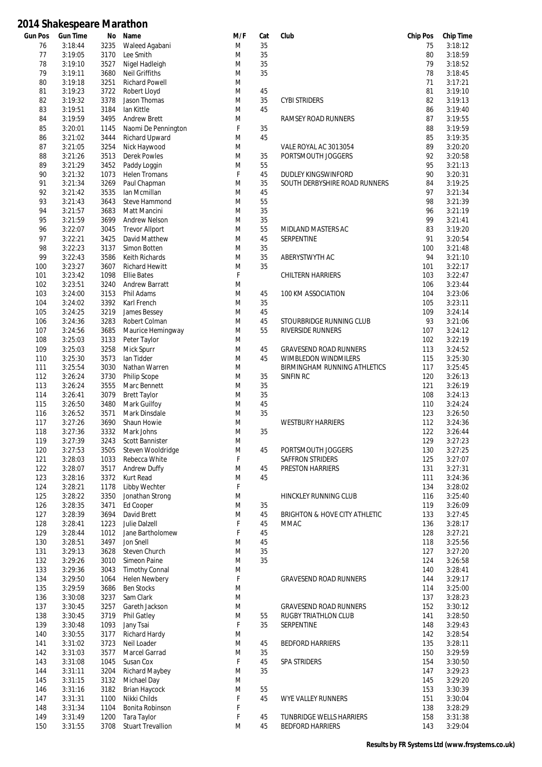| Gun Pos | <b>Gun Time</b> | No   | Name                     | M/F         | Cat | Club                                | <b>Chip Pos</b> | <b>Chip Time</b> |
|---------|-----------------|------|--------------------------|-------------|-----|-------------------------------------|-----------------|------------------|
| 76      | 3:18:44         | 3235 | Waleed Agabani           | M           | 35  |                                     | 75              | 3:18:12          |
| 77      | 3:19:05         | 3170 | Lee Smith                | M           | 35  |                                     | 80              | 3:18:59          |
| 78      | 3:19:10         | 3527 | Nigel Hadleigh           | M           | 35  |                                     | 79              | 3:18:52          |
| 79      | 3:19:11         | 3680 | <b>Neil Griffiths</b>    | M           | 35  |                                     | 78              | 3:18:45          |
| 80      | 3:19:18         | 3251 | <b>Richard Powell</b>    | M           |     |                                     | 71              | 3:17:21          |
|         | 3:19:23         | 3722 |                          | M           | 45  |                                     | 81              | 3:19:10          |
| 81      |                 |      | Robert Lloyd             |             |     |                                     |                 |                  |
| 82      | 3:19:32         | 3378 | Jason Thomas             | M           | 35  | <b>CYBI STRIDERS</b>                | 82              | 3:19:13          |
| 83      | 3:19:51         | 3184 | lan Kittle               | M           | 45  |                                     | 86              | 3:19:40          |
| 84      | 3:19:59         | 3495 | Andrew Brett             | M           |     | RAMSEY ROAD RUNNERS                 | 87              | 3:19:55          |
| 85      | 3:20:01         | 1145 | Naomi De Pennington      | F           | 35  |                                     | 88              | 3:19:59          |
| 86      | 3:21:02         | 3444 | <b>Richard Upward</b>    | M           | 45  |                                     | 85              | 3:19:35          |
| 87      | 3:21:05         | 3254 | Nick Haywood             | M           |     | VALE ROYAL AC 3013054               | 89              | 3:20:20          |
|         |                 |      |                          |             |     |                                     |                 |                  |
| 88      | 3:21:26         | 3513 | <b>Derek Powles</b>      | M           | 35  | PORTSMOUTH JOGGERS                  | 92              | 3:20:58          |
| 89      | 3:21:29         | 3452 | Paddy Loggin             | M           | 55  |                                     | 95              | 3:21:13          |
| 90      | 3:21:32         | 1073 | <b>Helen Tromans</b>     | $\mathsf F$ | 45  | <b>DUDLEY KINGSWINFORD</b>          | 90              | 3:20:31          |
| 91      | 3:21:34         | 3269 | Paul Chapman             | M           | 35  | SOUTH DERBYSHIRE ROAD RUNNERS       | 84              | 3:19:25          |
| 92      | 3:21:42         | 3535 | lan Mcmillan             | M           | 45  |                                     | 97              | 3:21:34          |
| 93      | 3:21:43         | 3643 | Steve Hammond            | M           | 55  |                                     | 98              | 3:21:39          |
| 94      | 3:21:57         | 3683 |                          | M           | 35  |                                     | 96              | 3:21:19          |
|         |                 |      | Matt Mancini             |             |     |                                     |                 |                  |
| 95      | 3:21:59         | 3699 | <b>Andrew Nelson</b>     | M           | 35  |                                     | 99              | 3:21:41          |
| 96      | 3:22:07         | 3045 | <b>Trevor Allport</b>    | M           | 55  | MIDLAND MASTERS AC                  | 83              | 3:19:20          |
| 97      | 3:22:21         | 3425 | David Matthew            | M           | 45  | <b>SERPENTINE</b>                   | 91              | 3:20:54          |
| 98      | 3:22:23         | 3137 | Simon Botten             | M           | 35  |                                     | 100             | 3:21:48          |
| 99      | 3:22:43         | 3586 | Keith Richards           | M           | 35  | ABERYSTWYTH AC                      | 94              | 3:21:10          |
|         | 3:23:27         | 3607 |                          | M           | 35  |                                     |                 | 3:22:17          |
| 100     |                 |      | <b>Richard Hewitt</b>    |             |     |                                     | 101             |                  |
| 101     | 3:23:42         | 1098 | <b>Ellie Bates</b>       | F           |     | CHILTERN HARRIERS                   | 103             | 3:22:47          |
| 102     | 3:23:51         | 3240 | Andrew Barratt           | M           |     |                                     | 106             | 3:23:44          |
| 103     | 3:24:00         | 3153 | Phil Adams               | M           | 45  | 100 KM ASSOCIATION                  | 104             | 3:23:06          |
| 104     | 3:24:02         | 3392 | Karl French              | M           | 35  |                                     | 105             | 3:23:11          |
| 105     | 3:24:25         | 3219 | James Bessey             | M           | 45  |                                     | 109             | 3:24:14          |
| 106     | 3:24:36         | 3283 | Robert Colman            | M           | 45  | STOURBRIDGE RUNNING CLUB            | 93              | 3:21:06          |
|         |                 |      |                          |             |     |                                     |                 |                  |
| 107     | 3:24:56         | 3685 | Maurice Hemingway        | M           | 55  | RIVERSIDE RUNNERS                   | 107             | 3:24:12          |
| 108     | 3:25:03         | 3133 | Peter Taylor             | M           |     |                                     | 102             | 3:22:19          |
| 109     | 3:25:03         | 3258 | Mick Spurr               | M           | 45  | <b>GRAVESEND ROAD RUNNERS</b>       | 113             | 3:24:52          |
| 110     | 3:25:30         | 3573 | lan Tidder               | M           | 45  | <b>WIMBLEDON WINDMILERS</b>         | 115             | 3:25:30          |
| 111     | 3:25:54         | 3030 | Nathan Warren            | M           |     | <b>BIRMINGHAM RUNNING ATHLETICS</b> | 117             | 3:25:45          |
| 112     | 3:26:24         | 3730 | Philip Scope             | M           | 35  | SINFIN RC                           | 120             | 3:26:13          |
| 113     | 3:26:24         | 3555 |                          | M           | 35  |                                     | 121             | 3:26:19          |
|         |                 |      | Marc Bennett             |             |     |                                     |                 |                  |
| 114     | 3:26:41         | 3079 | <b>Brett Taylor</b>      | M           | 35  |                                     | 108             | 3:24:13          |
| 115     | 3:26:50         | 3480 | Mark Guilfoy             | M           | 45  |                                     | 110             | 3:24:24          |
| 116     | 3:26:52         | 3571 | Mark Dinsdale            | M           | 35  |                                     | 123             | 3:26:50          |
| 117     | 3:27:26         | 3690 | Shaun Howie              | M           |     | <b>WESTBURY HARRIERS</b>            | 112             | 3:24:36          |
| 118     | 3:27:36         | 3332 | Mark Johns               | M           | 35  |                                     | 122             | 3:26:44          |
| 119     | 3:27:39         | 3243 | Scott Bannister          | M           |     |                                     | 129             | 3:27:23          |
|         | 3:27:53         |      | Steven Wooldridge        | M           | 45  | PORTSMOUTH JOGGERS                  |                 | 3:27:25          |
| 120     |                 | 3505 |                          |             |     |                                     | 130             |                  |
| 121     | 3:28:03         | 1033 | Rebecca White            | F           |     | <b>SAFFRON STRIDERS</b>             | 125             | 3:27:07          |
| 122     | 3:28:07         | 3517 | Andrew Duffy             | M           | 45  | PRESTON HARRIERS                    | 131             | 3:27:31          |
| 123     | 3:28:16         | 3372 | Kurt Read                | M           | 45  |                                     | 111             | 3:24:36          |
| 124     | 3:28:21         | 1178 | Libby Wechter            | F           |     |                                     | 134             | 3:28:02          |
| 125     | 3:28:22         | 3350 | Jonathan Strong          | M           |     | HINCKLEY RUNNING CLUB               | 116             | 3:25:40          |
| 126     | 3:28:35         | 3471 | Ed Cooper                | M           | 35  |                                     | 119             | 3:26:09          |
|         |                 |      | David Brett              |             |     |                                     |                 |                  |
| 127     | 3:28:39         | 3694 |                          | M           | 45  | BRIGHTON & HOVE CITY ATHLETIC       | 133             | 3:27:45          |
| 128     | 3:28:41         | 1223 | <b>Julie Dalzell</b>     | F           | 45  | <b>MMAC</b>                         | 136             | 3:28:17          |
| 129     | 3:28:44         | 1012 | Jane Bartholomew         | F           | 45  |                                     | 128             | 3:27:21          |
| 130     | 3:28:51         | 3497 | Jon Snell                | M           | 45  |                                     | 118             | 3:25:56          |
| 131     | 3:29:13         | 3628 | Steven Church            | M           | 35  |                                     | 127             | 3:27:20          |
| 132     | 3:29:26         | 3010 | Simeon Paine             | M           | 35  |                                     | 124             | 3:26:58          |
| 133     | 3:29:36         | 3043 | <b>Timothy Connal</b>    | M           |     |                                     | 140             | 3:28:41          |
|         |                 |      |                          |             |     |                                     |                 |                  |
| 134     | 3:29:50         | 1064 | <b>Helen Newbery</b>     | F           |     | <b>GRAVESEND ROAD RUNNERS</b>       | 144             | 3:29:17          |
| 135     | 3:29:59         | 3686 | <b>Ben Stocks</b>        | M           |     |                                     | 114             | 3:25:00          |
| 136     | 3:30:08         | 3237 | Sam Clark                | M           |     |                                     | 137             | 3:28:23          |
| 137     | 3:30:45         | 3257 | Gareth Jackson           | M           |     | <b>GRAVESEND ROAD RUNNERS</b>       | 152             | 3:30:12          |
| 138     | 3:30:45         | 3719 | <b>Phil Gatley</b>       | M           | 55  | RUGBY TRIATHLON CLUB                | 141             | 3:28:50          |
| 139     | 3:30:48         | 1093 | Jany Tsai                | F           | 35  | SERPENTINE                          | 148             | 3:29:43          |
| 140     | 3:30:55         | 3177 | Richard Hardy            | M           |     |                                     | 142             | 3:28:54          |
|         |                 |      |                          |             |     |                                     |                 |                  |
| 141     | 3:31:02         | 3723 | Neil Loader              | M           | 45  | <b>BEDFORD HARRIERS</b>             | 135             | 3:28:11          |
| 142     | 3:31:03         | 3577 | Marcel Garrad            | M           | 35  |                                     | 150             | 3:29:59          |
| 143     | 3:31:08         | 1045 | Susan Cox                | F           | 45  | SPA STRIDERS                        | 154             | 3:30:50          |
| 144     | 3:31:11         | 3204 | <b>Richard Maybey</b>    | M           | 35  |                                     | 147             | 3:29:23          |
| 145     | 3:31:15         | 3132 | Michael Day              | M           |     |                                     | 145             | 3:29:20          |
| 146     | 3:31:16         | 3182 | Brian Haycock            | M           | 55  |                                     | 153             | 3:30:39          |
| 147     | 3:31:31         | 1100 | Nikki Childs             | F           | 45  | <b>WYE VALLEY RUNNERS</b>           | 151             | 3:30:04          |
| 148     | 3:31:34         | 1104 | Bonita Robinson          | F           |     |                                     | 138             | 3:28:29          |
|         |                 |      |                          |             |     |                                     |                 |                  |
| 149     | 3:31:49         | 1200 | Tara Taylor              | F           | 45  | TUNBRIDGE WELLS HARRIERS            | 158             | 3:31:38          |
| 150     | 3:31:55         | 3708 | <b>Stuart Trevallion</b> | M           | 45  | <b>BEDFORD HARRIERS</b>             | 143             | 3:29:04          |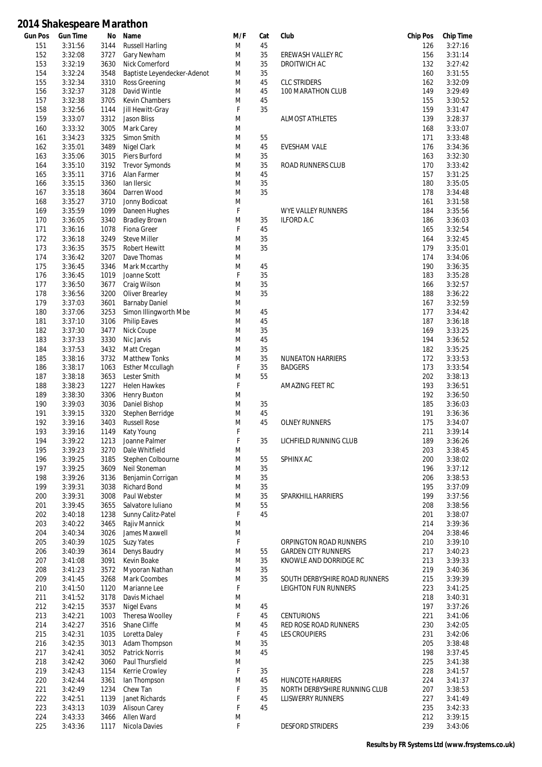| Gun Pos | <b>Gun Time</b> | No   | Name                        | M/F | Cat | Club                          | <b>Chip Pos</b> | <b>Chip Time</b> |
|---------|-----------------|------|-----------------------------|-----|-----|-------------------------------|-----------------|------------------|
| 151     | 3:31:56         | 3144 | <b>Russell Harling</b>      | M   | 45  |                               | 126             | 3:27:16          |
| 152     | 3:32:08         | 3727 | Gary Newham                 | M   | 35  | EREWASH VALLEY RC             | 156             | 3:31:14          |
| 153     | 3:32:19         | 3630 | Nick Comerford              | M   | 35  | DROITWICH AC                  | 132             | 3:27:42          |
| 154     | 3:32:24         | 3548 | Baptiste Leyendecker-Adenot | M   | 35  |                               | 160             | 3:31:55          |
| 155     | 3:32:34         | 3310 | Ross Greening               | M   | 45  | <b>CLC STRIDERS</b>           | 162             | 3:32:09          |
| 156     | 3:32:37         | 3128 | David Wintle                | M   | 45  | 100 MARATHON CLUB             | 149             | 3:29:49          |
| 157     | 3:32:38         | 3705 | <b>Kevin Chambers</b>       | M   | 45  |                               | 155             | 3:30:52          |
|         |                 |      |                             |     |     |                               |                 |                  |
| 158     | 3:32:56         | 1144 | Jill Hewitt-Gray            | F   | 35  |                               | 159             | 3:31:47          |
| 159     | 3:33:07         | 3312 | Jason Bliss                 | M   |     | <b>ALMOST ATHLETES</b>        | 139             | 3:28:37          |
| 160     | 3:33:32         | 3005 | Mark Carey                  | M   |     |                               | 168             | 3:33:07          |
| 161     | 3:34:23         | 3325 | Simon Smith                 | M   | 55  |                               | 171             | 3:33:48          |
| 162     | 3:35:01         | 3489 | Nigel Clark                 | M   | 45  | <b>EVESHAM VALE</b>           | 176             | 3:34:36          |
| 163     | 3:35:06         | 3015 | Piers Burford               | M   | 35  |                               | 163             | 3:32:30          |
| 164     | 3:35:10         | 3192 | <b>Trevor Symonds</b>       | M   | 35  | ROAD RUNNERS CLUB             | 170             | 3:33:42          |
| 165     | 3:35:11         | 3716 | Alan Farmer                 | M   | 45  |                               | 157             | 3:31:25          |
|         |                 |      |                             |     |     |                               |                 |                  |
| 166     | 3:35:15         | 3360 | lan Ilersic                 | M   | 35  |                               | 180             | 3:35:05          |
| 167     | 3:35:18         | 3604 | Darren Wood                 | M   | 35  |                               | 178             | 3:34:48          |
| 168     | 3:35:27         | 3710 | Jonny Bodicoat              | M   |     |                               | 161             | 3:31:58          |
| 169     | 3:35:59         | 1099 | Daneen Hughes               | F   |     | <b>WYE VALLEY RUNNERS</b>     | 184             | 3:35:56          |
| 170     | 3:36:05         | 3340 | <b>Bradley Brown</b>        | M   | 35  | <b>ILFORD A.C</b>             | 186             | 3:36:03          |
| 171     | 3:36:16         | 1078 | Fiona Greer                 | F   | 45  |                               | 165             | 3:32:54          |
| 172     | 3:36:18         | 3249 | <b>Steve Miller</b>         | M   | 35  |                               | 164             | 3:32:45          |
| 173     | 3:36:35         | 3575 | Robert Hewitt               | M   | 35  |                               | 179             | 3:35:01          |
| 174     |                 | 3207 |                             | M   |     |                               | 174             |                  |
|         | 3:36:42         |      | Dave Thomas                 |     |     |                               |                 | 3:34:06          |
| 175     | 3:36:45         | 3346 | Mark Mccarthy               | M   | 45  |                               | 190             | 3:36:35          |
| 176     | 3:36:45         | 1019 | Joanne Scott                | F   | 35  |                               | 183             | 3:35:28          |
| 177     | 3:36:50         | 3677 | Craig Wilson                | M   | 35  |                               | 166             | 3:32:57          |
| 178     | 3:36:56         | 3200 | <b>Oliver Brearley</b>      | M   | 35  |                               | 188             | 3:36:22          |
| 179     | 3:37:03         | 3601 | <b>Barnaby Daniel</b>       | M   |     |                               | 167             | 3:32:59          |
| 180     | 3:37:06         | 3253 | Simon Illingworth Mbe       | M   | 45  |                               | 177             | 3:34:42          |
| 181     | 3:37:10         | 3106 | <b>Philip Eaves</b>         | M   | 45  |                               | 187             | 3:36:18          |
| 182     | 3:37:30         | 3477 | Nick Coupe                  | M   | 35  |                               | 169             | 3:33:25          |
|         |                 |      |                             |     |     |                               |                 |                  |
| 183     | 3:37:33         | 3330 | Nic Jarvis                  | M   | 45  |                               | 194             | 3:36:52          |
| 184     | 3:37:53         | 3432 | Matt Cregan                 | M   | 35  |                               | 182             | 3:35:25          |
| 185     | 3:38:16         | 3732 | <b>Matthew Tonks</b>        | M   | 35  | <b>NUNEATON HARRIERS</b>      | 172             | 3:33:53          |
| 186     | 3:38:17         | 1063 | <b>Esther Mccullagh</b>     | F   | 35  | <b>BADGERS</b>                | 173             | 3:33:54          |
| 187     | 3:38:18         | 3653 | Lester Smith                | M   | 55  |                               | 202             | 3:38:13          |
| 188     | 3:38:23         | 1227 | <b>Helen Hawkes</b>         | F   |     | AMAZING FEET RC               | 193             | 3:36:51          |
| 189     | 3:38:30         | 3306 | Henry Buxton                | M   |     |                               | 192             | 3:36:50          |
| 190     | 3:39:03         | 3036 | Daniel Bishop               | M   | 35  |                               | 185             | 3:36:03          |
| 191     | 3:39:15         | 3320 | Stephen Berridge            | M   | 45  |                               | 191             | 3:36:36          |
|         |                 |      |                             |     |     |                               |                 |                  |
| 192     | 3:39:16         | 3403 | <b>Russell Rose</b>         | M   | 45  | <b>OLNEY RUNNERS</b>          | 175             | 3:34:07          |
| 193     | 3:39:16         | 1149 | Katy Young                  | F   |     |                               | 211             | 3:39:14          |
| 194     | 3:39:22         |      | 1213 Joanne Palmer          | F   | 35  | LICHFIELD RUNNING CLUB        | 189             | 3:36:26          |
| 195     | 3:39:23         | 3270 | Dale Whitfield              | M   |     |                               | 203             | 3:38:45          |
| 196     | 3:39:25         | 3185 | Stephen Colbourne           | M   | 55  | SPHINX AC                     | 200             | 3:38:02          |
| 197     | 3:39:25         | 3609 | Neil Stoneman               | M   | 35  |                               | 196             | 3:37:12          |
| 198     | 3:39:26         | 3136 | Benjamin Corrigan           | M   | 35  |                               | 206             | 3:38:53          |
| 199     | 3:39:31         | 3038 | <b>Richard Bond</b>         | M   | 35  |                               | 195             | 3:37:09          |
| 200     | 3:39:31         | 3008 | Paul Webster                | M   | 35  | SPARKHILL HARRIERS            | 199             | 3:37:56          |
|         |                 |      |                             |     |     |                               |                 |                  |
| 201     | 3:39:45         | 3655 | Salvatore Iuliano           | M   | 55  |                               | 208             | 3:38:56          |
| 202     | 3:40:18         | 1238 | Sunny Calitz-Patel          | F   | 45  |                               | 201             | 3:38:07          |
| 203     | 3:40:22         | 3465 | Rajiv Mannick               | M   |     |                               | 214             | 3:39:36          |
| 204     | 3:40:34         | 3026 | James Maxwell               | M   |     |                               | 204             | 3:38:46          |
| 205     | 3:40:39         | 1025 | <b>Suzy Yates</b>           | F   |     | ORPINGTON ROAD RUNNERS        | 210             | 3:39:10          |
| 206     | 3:40:39         | 3614 | Denys Baudry                | M   | 55  | <b>GARDEN CITY RUNNERS</b>    | 217             | 3:40:23          |
| 207     | 3:41:08         | 3091 | Kevin Boake                 | M   | 35  | KNOWLE AND DORRIDGE RC        | 213             | 3:39:33          |
| 208     | 3:41:23         | 3572 | Myooran Nathan              | M   | 35  |                               | 219             | 3:40:36          |
|         |                 | 3268 |                             |     | 35  |                               |                 |                  |
| 209     | 3:41:45         |      | Mark Coombes                | M   |     | SOUTH DERBYSHIRE ROAD RUNNERS | 215             | 3:39:39          |
| 210     | 3:41:50         | 1120 | Marianne Lee                | F   |     | <b>LEIGHTON FUN RUNNERS</b>   | 223             | 3:41:25          |
| 211     | 3:41:52         | 3178 | Davis Michael               | M   |     |                               | 218             | 3:40:31          |
| 212     | 3:42:15         | 3537 | <b>Nigel Evans</b>          | M   | 45  |                               | 197             | 3:37:26          |
| 213     | 3:42:21         | 1003 | Theresa Woolley             | F   | 45  | <b>CENTURIONS</b>             | 221             | 3:41:06          |
| 214     | 3:42:27         | 3516 | Shane Cliffe                | M   | 45  | RED ROSE ROAD RUNNERS         | 230             | 3:42:05          |
| 215     | 3:42:31         | 1035 | Loretta Daley               | F   | 45  | <b>LES CROUPIERS</b>          | 231             | 3:42:06          |
| 216     | 3:42:35         | 3013 | Adam Thompson               | M   | 35  |                               | 205             | 3:38:48          |
| 217     | 3:42:41         | 3052 | <b>Patrick Norris</b>       | M   | 45  |                               | 198             | 3:37:45          |
|         |                 |      |                             |     |     |                               |                 |                  |
| 218     | 3:42:42         | 3060 | Paul Thursfield             | M   |     |                               | 225             | 3:41:38          |
| 219     | 3:42:43         | 1154 | Kerrie Crowley              | F   | 35  |                               | 228             | 3:41:57          |
| 220     | 3:42:44         | 3361 | lan Thompson                | M   | 45  | <b>HUNCOTE HARRIERS</b>       | 224             | 3:41:37          |
| 221     | 3:42:49         | 1234 | Chew Tan                    | F   | 35  | NORTH DERBYSHIRE RUNNING CLUB | 207             | 3:38:53          |
| 222     | 3:42:51         | 1139 | Janet Richards              | F   | 45  | <b>LLISWERRY RUNNERS</b>      | 227             | 3:41:49          |
| 223     | 3:43:13         | 1039 | Alisoun Carey               | F   | 45  |                               | 235             | 3:42:33          |
| 224     | 3:43:33         | 3466 | Allen Ward                  | M   |     |                               | 212             | 3:39:15          |
| 225     | 3:43:36         | 1117 | Nicola Davies               | F   |     | <b>DESFORD STRIDERS</b>       | 239             | 3:43:06          |
|         |                 |      |                             |     |     |                               |                 |                  |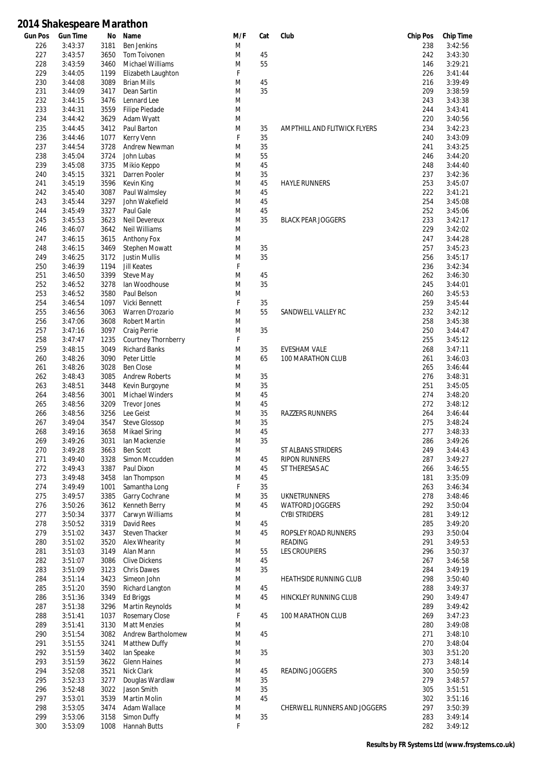| <b>Gun Pos</b> | <b>Gun Time</b> | No   | Name                       | M/F | Cat | Club                         | <b>Chip Pos</b> | <b>Chip Time</b> |
|----------------|-----------------|------|----------------------------|-----|-----|------------------------------|-----------------|------------------|
| 226            | 3:43:37         | 3181 | <b>Ben Jenkins</b>         | M   |     |                              | 238             | 3:42:56          |
| 227            | 3:43:57         | 3650 | Tom Toivonen               | M   | 45  |                              | 242             | 3:43:30          |
| 228            | 3:43:59         | 3460 | <b>Michael Williams</b>    | M   | 55  |                              | 146             | 3:29:21          |
| 229            | 3:44:05         | 1199 | Elizabeth Laughton         | F   |     |                              | 226             | 3:41:44          |
| 230            | 3:44:08         | 3089 | <b>Brian Mills</b>         | M   | 45  |                              | 216             | 3:39:49          |
| 231            | 3:44:09         | 3417 | Dean Sartin                | M   | 35  |                              | 209             | 3:38:59          |
| 232            | 3:44:15         | 3476 | Lennard Lee                | M   |     |                              | 243             | 3:43:38          |
| 233            | 3:44:31         | 3559 | <b>Filipe Piedade</b>      | M   |     |                              | 244             | 3:43:41          |
| 234            | 3:44:42         | 3629 | Adam Wyatt                 | M   |     |                              | 220             | 3:40:56          |
| 235            | 3:44:45         | 3412 | Paul Barton                | M   | 35  | AMPTHILL AND FLITWICK FLYERS | 234             | 3:42:23          |
| 236            | 3:44:46         | 1077 | Kerry Venn                 | F   | 35  |                              | 240             | 3:43:09          |
| 237            | 3:44:54         | 3728 | Andrew Newman              | M   | 35  |                              | 241             | 3:43:25          |
| 238            | 3:45:04         | 3724 | John Lubas                 | M   | 55  |                              | 246             | 3:44:20          |
| 239            | 3:45:08         | 3735 |                            | M   | 45  |                              | 248             | 3:44:40          |
|                |                 | 3321 | Mikio Keppo                | M   | 35  |                              | 237             | 3:42:36          |
| 240            | 3:45:15         |      | Darren Pooler              |     |     |                              |                 |                  |
| 241            | 3:45:19         | 3596 | Kevin King                 | M   | 45  | <b>HAYLE RUNNERS</b>         | 253             | 3:45:07          |
| 242            | 3:45:40         | 3087 | Paul Walmsley              | M   | 45  |                              | 222             | 3:41:21          |
| 243            | 3:45:44         | 3297 | John Wakefield             | M   | 45  |                              | 254             | 3:45:08          |
| 244            | 3:45:49         | 3327 | Paul Gale                  | M   | 45  |                              | 252             | 3:45:06          |
| 245            | 3:45:53         | 3623 | Neil Devereux              | M   | 35  | <b>BLACK PEAR JOGGERS</b>    | 233             | 3:42:17          |
| 246            | 3:46:07         | 3642 | <b>Neil Williams</b>       | M   |     |                              | 229             | 3:42:02          |
| 247            | 3:46:15         | 3615 | Anthony Fox                | M   |     |                              | 247             | 3:44:28          |
| 248            | 3:46:15         | 3469 | Stephen Mowatt             | M   | 35  |                              | 257             | 3:45:23          |
| 249            | 3:46:25         | 3172 | <b>Justin Mullis</b>       | M   | 35  |                              | 256             | 3:45:17          |
| 250            | 3:46:39         | 1194 | <b>Jill Keates</b>         | F   |     |                              | 236             | 3:42:34          |
| 251            | 3:46:50         | 3399 | Steve May                  | M   | 45  |                              | 262             | 3:46:30          |
| 252            | 3:46:52         | 3278 | lan Woodhouse              | M   | 35  |                              | 245             | 3:44:01          |
| 253            | 3:46:52         | 3580 | Paul Belson                | M   |     |                              | 260             | 3:45:53          |
| 254            | 3:46:54         | 1097 | Vicki Bennett              | F   | 35  |                              | 259             | 3:45:44          |
| 255            | 3:46:56         | 3063 | Warren D'rozario           | M   | 55  | SANDWELL VALLEY RC           | 232             | 3:42:12          |
| 256            | 3:47:06         | 3608 | <b>Robert Martin</b>       | M   |     |                              | 258             | 3:45:38          |
| 257            | 3:47:16         | 3097 | Craig Perrie               | M   | 35  |                              | 250             | 3:44:47          |
| 258            | 3:47:47         | 1235 | <b>Courtney Thornberry</b> | F   |     |                              | 255             | 3:45:12          |
| 259            | 3:48:15         | 3049 | <b>Richard Banks</b>       | M   | 35  | <b>EVESHAM VALE</b>          | 268             | 3:47:11          |
| 260            | 3:48:26         | 3090 | Peter Little               | M   | 65  | 100 MARATHON CLUB            | 261             | 3:46:03          |
| 261            | 3:48:26         | 3028 | <b>Ben Close</b>           | M   |     |                              | 265             | 3:46:44          |
| 262            | 3:48:43         | 3085 | <b>Andrew Roberts</b>      | M   | 35  |                              | 276             | 3:48:31          |
|                |                 |      |                            |     |     |                              |                 |                  |
| 263            | 3:48:51         | 3448 | Kevin Burgoyne             | M   | 35  |                              | 251             | 3:45:05          |
| 264            | 3:48:56         | 3001 | <b>Michael Winders</b>     | M   | 45  |                              | 274             | 3:48:20          |
| 265            | 3:48:56         | 3209 | <b>Trevor Jones</b>        | M   | 45  |                              | 272             | 3:48:12          |
| 266            | 3:48:56         | 3256 | Lee Geist                  | M   | 35  | <b>RAZZERS RUNNERS</b>       | 264             | 3:46:44          |
| 267            | 3:49:04         | 3547 | <b>Steve Glossop</b>       | M   | 35  |                              | 275             | 3:48:24          |
| 268            | 3:49:16         | 3658 | <b>Mikael Siring</b>       | M   | 45  |                              | 277             | 3:48:33          |
| 269            | 3:49:26         | 3031 | lan Mackenzie              | M   | 35  |                              | 286             | 3:49:26          |
| 270            | 3:49:28         | 3663 | <b>Ben Scott</b>           | M   |     | ST ALBANS STRIDERS           | 249             | 3:44:43          |
| 271            | 3:49:40         | 3328 | Simon Mccudden             | M   | 45  | <b>RIPON RUNNERS</b>         | 287             | 3:49:27          |
| 272            | 3:49:43         | 3387 | Paul Dixon                 | M   | 45  | ST THERESAS AC               | 266             | 3:46:55          |
| 273            | 3:49:48         | 3458 | lan Thompson               | M   | 45  |                              | 181             | 3:35:09          |
| 274            | 3:49:49         | 1001 | Samantha Long              | F   | 35  |                              | 263             | 3:46:34          |
| 275            | 3:49:57         | 3385 | Garry Cochrane             | M   | 35  | <b>UKNETRUNNERS</b>          | 278             | 3:48:46          |
| 276            | 3:50:26         | 3612 | Kenneth Berry              | M   | 45  | <b>WATFORD JOGGERS</b>       | 292             | 3:50:04          |
| 277            | 3:50:34         | 3377 | Carwyn Williams            | M   |     | <b>CYBI STRIDERS</b>         | 281             | 3:49:12          |
| 278            | 3:50:52         | 3319 | David Rees                 | M   | 45  |                              | 285             | 3:49:20          |
| 279            | 3:51:02         | 3437 | Steven Thacker             | M   | 45  | ROPSLEY ROAD RUNNERS         | 293             | 3:50:04          |
| 280            | 3:51:02         | 3520 | Alex Whearity              | M   |     | READING                      | 291             | 3:49:53          |
| 281            | 3:51:03         | 3149 | Alan Mann                  | M   | 55  | <b>LES CROUPIERS</b>         | 296             | 3:50:37          |
| 282            | 3:51:07         | 3086 | <b>Clive Dickens</b>       | M   | 45  |                              | 267             | 3:46:58          |
| 283            | 3:51:09         | 3123 | <b>Chris Dawes</b>         | M   | 35  |                              | 284             | 3:49:19          |
| 284            | 3:51:14         | 3423 | Simeon John                | M   |     | HEATHSIDE RUNNING CLUB       | 298             | 3:50:40          |
| 285            | 3:51:20         | 3590 | Richard Langton            | M   | 45  |                              | 288             | 3:49:37          |
| 286            | 3:51:36         | 3349 | Ed Briggs                  | M   | 45  | HINCKLEY RUNNING CLUB        | 290             | 3:49:47          |
| 287            | 3:51:38         | 3296 | <b>Martin Reynolds</b>     | M   |     |                              | 289             | 3:49:42          |
| 288            | 3:51:41         | 1037 | Rosemary Close             | F   | 45  | 100 MARATHON CLUB            | 269             | 3:47:23          |
| 289            | 3:51:41         | 3130 | <b>Matt Menzies</b>        | M   |     |                              | 280             | 3:49:08          |
| 290            | 3:51:54         | 3082 | Andrew Bartholomew         | M   | 45  |                              | 271             | 3:48:10          |
|                |                 |      |                            |     |     |                              | 270             |                  |
| 291            | 3:51:55         | 3241 | <b>Matthew Duffy</b>       | M   |     |                              |                 | 3:48:04          |
| 292            | 3:51:59         | 3402 | lan Speake                 | M   | 35  |                              | 303             | 3:51:20          |
| 293            | 3:51:59         | 3622 | <b>Glenn Haines</b>        | M   |     |                              | 273             | 3:48:14          |
| 294            | 3:52:08         | 3521 | Nick Clark                 | M   | 45  | READING JOGGERS              | 300             | 3:50:59          |
| 295            | 3:52:33         | 3277 | Douglas Wardlaw            | M   | 35  |                              | 279             | 3:48:57          |
| 296            | 3:52:48         | 3022 | Jason Smith                | M   | 35  |                              | 305             | 3:51:51          |
| 297            | 3:53:01         | 3539 | <b>Martin Molin</b>        | M   | 45  |                              | 302             | 3:51:16          |
| 298            | 3:53:05         | 3474 | Adam Wallace               | M   |     | CHERWELL RUNNERS AND JOGGERS | 297             | 3:50:39          |
| 299            | 3:53:06         | 3158 | Simon Duffy                | M   | 35  |                              | 283             | 3:49:14          |
| 300            | 3:53:09         | 1008 | Hannah Butts               | F   |     |                              | 282             | 3:49:12          |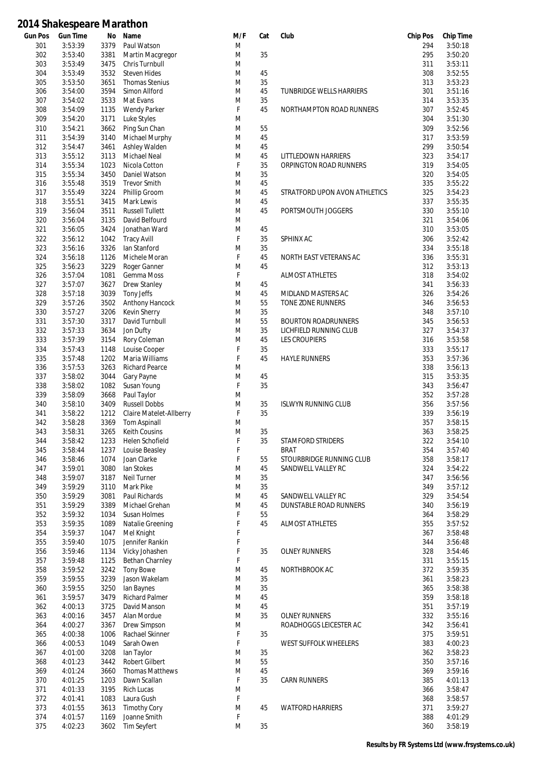| Gun Pos | <b>Gun Time</b> | No   | Name                    | M/F | Cat | Club                            | <b>Chip Pos</b> | <b>Chip Time</b> |
|---------|-----------------|------|-------------------------|-----|-----|---------------------------------|-----------------|------------------|
| 301     | 3:53:39         | 3379 | Paul Watson             | M   |     |                                 | 294             | 3:50:18          |
| 302     | 3:53:40         | 3381 | Martin Macgregor        | M   | 35  |                                 | 295             | 3:50:20          |
| 303     | 3:53:49         | 3475 | Chris Turnbull          | M   |     |                                 | 311             | 3:53:11          |
| 304     | 3:53:49         | 3532 | <b>Steven Hides</b>     | M   | 45  |                                 | 308             | 3:52:55          |
| 305     | 3:53:50         | 3651 | <b>Thomas Stenius</b>   | M   | 35  |                                 | 313             | 3:53:23          |
|         | 3:54:00         | 3594 |                         | M   | 45  |                                 | 301             | 3:51:16          |
| 306     |                 |      | Simon Allford           |     |     | <b>TUNBRIDGE WELLS HARRIERS</b> |                 |                  |
| 307     | 3:54:02         | 3533 | Mat Evans               | M   | 35  |                                 | 314             | 3:53:35          |
| 308     | 3:54:09         | 1135 | <b>Wendy Parker</b>     | F   | 45  | NORTHAMPTON ROAD RUNNERS        | 307             | 3:52:45          |
| 309     | 3:54:20         | 3171 | Luke Styles             | M   |     |                                 | 304             | 3:51:30          |
| 310     | 3:54:21         | 3662 | Ping Sun Chan           | M   | 55  |                                 | 309             | 3:52:56          |
| 311     | 3:54:39         | 3140 | Michael Murphy          | M   | 45  |                                 | 317             | 3:53:59          |
| 312     | 3:54:47         | 3461 | Ashley Walden           | M   | 45  |                                 | 299             | 3:50:54          |
|         | 3:55:12         |      |                         |     |     |                                 |                 |                  |
| 313     |                 | 3113 | <b>Michael Neal</b>     | M   | 45  | LITTLEDOWN HARRIERS             | 323             | 3:54:17          |
| 314     | 3:55:34         | 1023 | Nicola Cotton           | F   | 35  | ORPINGTON ROAD RUNNERS          | 319             | 3:54:05          |
| 315     | 3:55:34         | 3450 | Daniel Watson           | M   | 35  |                                 | 320             | 3:54:05          |
| 316     | 3:55:48         | 3519 | <b>Trevor Smith</b>     | M   | 45  |                                 | 335             | 3:55:22          |
| 317     | 3:55:49         | 3224 | Phillip Groom           | M   | 45  | STRATFORD UPON AVON ATHLETICS   | 325             | 3:54:23          |
| 318     | 3:55:51         | 3415 | Mark Lewis              | M   | 45  |                                 | 337             | 3:55:35          |
| 319     | 3:56:04         | 3511 | <b>Russell Tullett</b>  | M   | 45  | PORTSMOUTH JOGGERS              | 330             | 3:55:10          |
|         |                 |      |                         |     |     |                                 |                 |                  |
| 320     | 3:56:04         | 3135 | David Belfourd          | M   |     |                                 | 321             | 3:54:06          |
| 321     | 3:56:05         | 3424 | Jonathan Ward           | M   | 45  |                                 | 310             | 3:53:05          |
| 322     | 3:56:12         | 1042 | <b>Tracy Avill</b>      | F   | 35  | SPHINX AC                       | 306             | 3:52:42          |
| 323     | 3:56:16         | 3326 | lan Stanford            | M   | 35  |                                 | 334             | 3:55:18          |
| 324     | 3:56:18         | 1126 | Michele Moran           | F   | 45  | NORTH EAST VETERANS AC          | 336             | 3:55:31          |
| 325     | 3:56:23         | 3229 | Roger Ganner            | M   | 45  |                                 | 312             | 3:53:13          |
|         |                 |      |                         |     |     |                                 |                 |                  |
| 326     | 3:57:04         | 1081 | Gemma Moss              | F   |     | <b>ALMOST ATHLETES</b>          | 318             | 3:54:02          |
| 327     | 3:57:07         | 3627 | <b>Drew Stanley</b>     | M   | 45  |                                 | 341             | 3:56:33          |
| 328     | 3:57:18         | 3039 | Tony Jeffs              | M   | 45  | MIDLAND MASTERS AC              | 326             | 3:54:26          |
| 329     | 3:57:26         | 3502 | Anthony Hancock         | M   | 55  | TONE ZONE RUNNERS               | 346             | 3:56:53          |
| 330     | 3:57:27         | 3206 | <b>Kevin Sherry</b>     | M   | 35  |                                 | 348             | 3:57:10          |
| 331     | 3:57:30         | 3317 | David Turnbull          | M   | 55  | <b>BOURTON ROADRUNNERS</b>      | 345             | 3:56:53          |
|         |                 |      |                         |     |     |                                 |                 |                  |
| 332     | 3:57:33         | 3634 | Jon Dufty               | M   | 35  | LICHFIELD RUNNING CLUB          | 327             | 3:54:37          |
| 333     | 3:57:39         | 3154 | Rory Coleman            | M   | 45  | <b>LES CROUPIERS</b>            | 316             | 3:53:58          |
| 334     | 3:57:43         | 1148 | Louise Cooper           | F   | 35  |                                 | 333             | 3:55:17          |
| 335     | 3:57:48         | 1202 | Maria Williams          | F   | 45  | <b>HAYLE RUNNERS</b>            | 353             | 3:57:36          |
| 336     | 3:57:53         | 3263 | Richard Pearce          | M   |     |                                 | 338             | 3:56:13          |
| 337     | 3:58:02         | 3044 | Gary Payne              | M   | 45  |                                 | 315             | 3:53:35          |
| 338     | 3:58:02         | 1082 | Susan Young             | F   | 35  |                                 | 343             | 3:56:47          |
|         |                 |      |                         |     |     |                                 |                 |                  |
| 339     | 3:58:09         | 3668 | Paul Taylor             | M   |     |                                 | 352             | 3:57:28          |
| 340     | 3:58:10         | 3409 | <b>Russell Dobbs</b>    | M   | 35  | <b>ISLWYN RUNNING CLUB</b>      | 356             | 3:57:56          |
| 341     | 3:58:22         | 1212 | Claire Matelet-Allberry | F   | 35  |                                 | 339             | 3:56:19          |
| 342     | 3:58:28         | 3369 | <b>Tom Aspinall</b>     | M   |     |                                 | 357             | 3:58:15          |
| 343     | 3:58:31         | 3265 | <b>Keith Cousins</b>    | M   | 35  |                                 | 363             | 3:58:25          |
| 344     | 3:58:42         | 1233 | Helen Schofield         | F   | 35  | STAMFORD STRIDERS               | 322             | 3:54:10          |
| 345     | 3:58:44         | 1237 | Louise Beasley          | F   |     | <b>BRAT</b>                     | 354             | 3:57:40          |
|         |                 |      |                         |     |     |                                 |                 |                  |
| 346     | 3:58:46         | 1074 | Joan Clarke             | F   | 55  | STOURBRIDGE RUNNING CLUB        | 358             | 3:58:17          |
| 347     | 3:59:01         | 3080 | lan Stokes              | M   | 45  | SANDWELL VALLEY RC              | 324             | 3:54:22          |
| 348     | 3:59:07         | 3187 | Neil Turner             | M   | 35  |                                 | 347             | 3:56:56          |
| 349     | 3:59:29         | 3110 | Mark Pike               | M   | 35  |                                 | 349             | 3:57:12          |
| 350     | 3:59:29         | 3081 | Paul Richards           | M   | 45  | SANDWELL VALLEY RC              | 329             | 3:54:54          |
| 351     | 3:59:29         | 3389 | Michael Grehan          | M   | 45  | DUNSTABLE ROAD RUNNERS          | 340             | 3:56:19          |
| 352     | 3:59:32         | 1034 | Susan Holmes            | F   | 55  |                                 | 364             | 3:58:29          |
|         |                 |      |                         |     |     |                                 |                 |                  |
| 353     | 3:59:35         | 1089 | Natalie Greening        | F   | 45  | <b>ALMOST ATHLETES</b>          | 355             | 3:57:52          |
| 354     | 3:59:37         | 1047 | Mel Knight              | F   |     |                                 | 367             | 3:58:48          |
| 355     | 3:59:40         | 1075 | Jennifer Rankin         | F   |     |                                 | 344             | 3:56:48          |
| 356     | 3:59:46         | 1134 | Vicky Johashen          | F   | 35  | <b>OLNEY RUNNERS</b>            | 328             | 3:54:46          |
| 357     | 3:59:48         | 1125 | <b>Bethan Charnley</b>  | F   |     |                                 | 331             | 3:55:15          |
| 358     | 3:59:52         | 3242 | <b>Tony Bowe</b>        | M   | 45  | NORTHBROOK AC                   | 372             | 3:59:35          |
| 359     | 3:59:55         | 3239 | Jason Wakelam           | M   | 35  |                                 | 361             | 3:58:23          |
|         |                 |      |                         |     |     |                                 |                 |                  |
| 360     | 3:59:55         | 3250 | lan Baynes              | M   | 35  |                                 | 365             | 3:58:38          |
| 361     | 3:59:57         | 3479 | <b>Richard Palmer</b>   | M   | 45  |                                 | 359             | 3:58:18          |
| 362     | 4:00:13         | 3725 | David Manson            | M   | 45  |                                 | 351             | 3:57:19          |
| 363     | 4:00:16         | 3457 | Alan Mordue             | M   | 35  | <b>OLNEY RUNNERS</b>            | 332             | 3:55:16          |
| 364     | 4:00:27         | 3367 | Drew Simpson            | M   |     | ROADHOGGS LEICESTER AC          | 342             | 3:56:41          |
| 365     | 4:00:38         | 1006 | Rachael Skinner         | F   | 35  |                                 | 375             | 3:59:51          |
| 366     | 4:00:53         | 1049 | Sarah Owen              | F   |     | WEST SUFFOLK WHEELERS           | 383             | 4:00:23          |
|         |                 |      |                         |     |     |                                 |                 |                  |
| 367     | 4:01:00         | 3208 | lan Taylor              | M   | 35  |                                 | 362             | 3:58:23          |
| 368     | 4:01:23         | 3442 | <b>Robert Gilbert</b>   | M   | 55  |                                 | 350             | 3:57:16          |
| 369     | 4:01:24         | 3660 | <b>Thomas Matthews</b>  | M   | 45  |                                 | 369             | 3:59:16          |
| 370     | 4:01:25         | 1203 | Dawn Scallan            | F   | 35  | <b>CARN RUNNERS</b>             | 385             | 4:01:13          |
| 371     | 4:01:33         | 3195 | <b>Rich Lucas</b>       | M   |     |                                 | 366             | 3:58:47          |
| 372     | 4:01:41         | 1083 | Laura Gush              | F   |     |                                 | 368             | 3:58:57          |
| 373     | 4:01:55         | 3613 | <b>Timothy Cory</b>     | M   | 45  | <b>WATFORD HARRIERS</b>         | 371             | 3:59:27          |
|         |                 |      |                         |     |     |                                 |                 |                  |
| 374     | 4:01:57         | 1169 | Joanne Smith            | F   |     |                                 | 388             | 4:01:29          |
| 375     | 4:02:23         | 3602 | <b>Tim Seyfert</b>      | M   | 35  |                                 | 360             | 3:58:19          |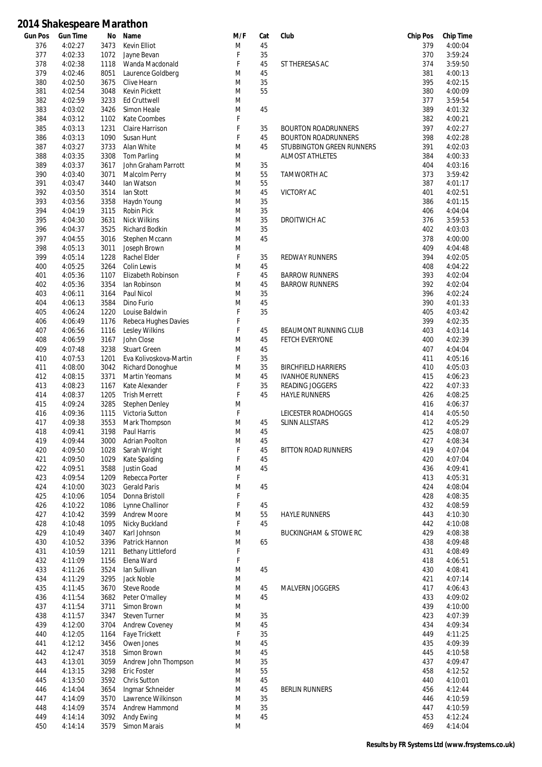| <b>Gun Pos</b> | <b>Gun Time</b> | No   | Name                   | M/F | Cat | Club                             | <b>Chip Pos</b> | <b>Chip Time</b> |
|----------------|-----------------|------|------------------------|-----|-----|----------------------------------|-----------------|------------------|
| 376            | 4:02:27         | 3473 | Kevin Elliot           | M   | 45  |                                  | 379             | 4:00:04          |
| 377            | 4:02:33         | 1072 | Jayne Bevan            | F   | 35  |                                  | 370             | 3:59:24          |
| 378            | 4:02:38         | 1118 | Wanda Macdonald        | F   | 45  | ST THERESAS AC                   | 374             | 3:59:50          |
| 379            | 4:02:46         | 8051 | Laurence Goldberg      | M   | 45  |                                  | 381             | 4:00:13          |
| 380            | 4:02:50         | 3675 | Clive Hearn            | M   | 35  |                                  | 395             | 4:02:15          |
| 381            | 4:02:54         | 3048 | <b>Kevin Pickett</b>   | M   | 55  |                                  | 380             | 4:00:09          |
| 382            | 4:02:59         | 3233 | Ed Cruttwell           | M   |     |                                  | 377             | 3:59:54          |
|                |                 |      |                        |     |     |                                  |                 |                  |
| 383            | 4:03:02         | 3426 | Simon Heale            | M   | 45  |                                  | 389             | 4:01:32          |
| 384            | 4:03:12         | 1102 | Kate Coombes           | F   |     |                                  | 382             | 4:00:21          |
| 385            | 4:03:13         | 1231 | Claire Harrison        | F   | 35  | <b>BOURTON ROADRUNNERS</b>       | 397             | 4:02:27          |
| 386            | 4:03:13         | 1090 | Susan Hunt             | F   | 45  | <b>BOURTON ROADRUNNERS</b>       | 398             | 4:02:28          |
| 387            | 4:03:27         | 3733 | Alan White             | M   | 45  | STUBBINGTON GREEN RUNNERS        | 391             | 4:02:03          |
| 388            | 4:03:35         | 3308 | Tom Parling            | M   |     | <b>ALMOST ATHLETES</b>           | 384             | 4:00:33          |
| 389            | 4:03:37         | 3617 | John Graham Parrott    | M   | 35  |                                  | 404             | 4:03:16          |
| 390            | 4:03:40         | 3071 | Malcolm Perry          | M   | 55  | TAMWORTH AC                      | 373             | 3:59:42          |
|                |                 |      |                        |     |     |                                  |                 |                  |
| 391            | 4:03:47         | 3440 | lan Watson             | M   | 55  |                                  | 387             | 4:01:17          |
| 392            | 4:03:50         | 3514 | lan Stott              | M   | 45  | <b>VICTORY AC</b>                | 401             | 4:02:51          |
| 393            | 4:03:56         | 3358 | Haydn Young            | M   | 35  |                                  | 386             | 4:01:15          |
| 394            | 4:04:19         | 3115 | Robin Pick             | M   | 35  |                                  | 406             | 4:04:04          |
| 395            | 4:04:30         | 3631 | <b>Nick Wilkins</b>    | M   | 35  | DROITWICH AC                     | 376             | 3:59:53          |
| 396            | 4:04:37         | 3525 | Richard Bodkin         | M   | 35  |                                  | 402             | 4:03:03          |
| 397            | 4:04:55         | 3016 | Stephen Mccann         | M   | 45  |                                  | 378             | 4:00:00          |
| 398            | 4:05:13         | 3011 | Joseph Brown           | M   |     |                                  | 409             | 4:04:48          |
|                |                 |      |                        |     |     |                                  |                 |                  |
| 399            | 4:05:14         | 1228 | Rachel Elder           | F   | 35  | <b>REDWAY RUNNERS</b>            | 394             | 4:02:05          |
| 400            | 4:05:25         | 3264 | Colin Lewis            | M   | 45  |                                  | 408             | 4:04:22          |
| 401            | 4:05:36         | 1107 | Elizabeth Robinson     | F   | 45  | <b>BARROW RUNNERS</b>            | 393             | 4:02:04          |
| 402            | 4:05:36         | 3354 | lan Robinson           | M   | 45  | <b>BARROW RUNNERS</b>            | 392             | 4:02:04          |
| 403            | 4:06:11         | 3164 | Paul Nicol             | M   | 35  |                                  | 396             | 4:02:24          |
| 404            | 4:06:13         | 3584 | Dino Furio             | M   | 45  |                                  | 390             | 4:01:33          |
| 405            | 4:06:24         | 1220 | Louise Baldwin         | F   | 35  |                                  | 405             | 4:03:42          |
| 406            | 4:06:49         | 1176 | Rebeca Hughes Davies   | F   |     |                                  | 399             | 4:02:35          |
|                |                 |      |                        |     |     |                                  |                 |                  |
| 407            | 4:06:56         | 1116 | Lesley Wilkins         | F   | 45  | <b>BEAUMONT RUNNING CLUB</b>     | 403             | 4:03:14          |
| 408            | 4:06:59         | 3167 | John Close             | M   | 45  | FETCH EVERYONE                   | 400             | 4:02:39          |
| 409            | 4:07:48         | 3238 | <b>Stuart Green</b>    | M   | 45  |                                  | 407             | 4:04:04          |
| 410            | 4:07:53         | 1201 | Eva Kolivoskova-Martin | F   | 35  |                                  | 411             | 4:05:16          |
| 411            | 4:08:00         | 3042 | Richard Donoghue       | M   | 35  | <b>BIRCHFIELD HARRIERS</b>       | 410             | 4:05:03          |
| 412            | 4:08:15         | 3371 | <b>Martin Yeomans</b>  | M   | 45  | <b>IVANHOE RUNNERS</b>           | 415             | 4:06:23          |
| 413            | 4:08:23         | 1167 | Kate Alexander         | F   | 35  | <b>READING JOGGERS</b>           | 422             | 4:07:33          |
| 414            | 4:08:37         | 1205 | <b>Trish Merrett</b>   | F   | 45  | <b>HAYLE RUNNERS</b>             | 426             | 4:08:25          |
| 415            | 4:09:24         | 3285 | <b>Stephen Denley</b>  | M   |     |                                  | 416             | 4:06:37          |
|                |                 |      |                        |     |     |                                  |                 |                  |
| 416            | 4:09:36         | 1115 | Victoria Sutton        | F   |     | LEICESTER ROADHOGGS              | 414             | 4:05:50          |
| 417            | 4:09:38         | 3553 | Mark Thompson          | M   | 45  | SLINN ALLSTARS                   | 412             | 4:05:29          |
| 418            | 4:09:41         | 3198 | Paul Harris            | M   | 45  |                                  | 425             | 4:08:07          |
| 419            | 4:09:44         | 3000 | Adrian Poolton         | M   | 45  |                                  | 427             | 4:08:34          |
| 420            | 4:09:50         | 1028 | Sarah Wright           | F   | 45  | <b>BITTON ROAD RUNNERS</b>       | 419             | 4:07:04          |
| 421            | 4:09:50         | 1029 | Kate Spalding          | F   | 45  |                                  | 420             | 4:07:04          |
| 422            | 4:09:51         | 3588 | Justin Goad            | M   | 45  |                                  | 436             | 4:09:41          |
| 423            | 4:09:54         | 1209 | Rebecca Porter         | F   |     |                                  | 413             | 4:05:31          |
| 424            | 4:10:00         | 3023 | <b>Gerald Paris</b>    | M   | 45  |                                  | 424             | 4:08:04          |
|                |                 |      |                        |     |     |                                  |                 |                  |
| 425            | 4:10:06         | 1054 | Donna Bristoll         | F   |     |                                  | 428             | 4:08:35          |
| 426            | 4:10:22         | 1086 | Lynne Challinor        | F   | 45  |                                  | 432             | 4:08:59          |
| 427            | 4:10:42         | 3599 | <b>Andrew Moore</b>    | M   | 55  | <b>HAYLE RUNNERS</b>             | 443             | 4:10:30          |
| 428            | 4:10:48         | 1095 | Nicky Buckland         | F   | 45  |                                  | 442             | 4:10:08          |
| 429            | 4:10:49         | 3407 | Karl Johnson           | M   |     | <b>BUCKINGHAM &amp; STOWE RC</b> | 429             | 4:08:38          |
| 430            | 4:10:52         | 3396 | Patrick Hannon         | M   | 65  |                                  | 438             | 4:09:48          |
| 431            | 4:10:59         | 1211 | Bethany Littleford     | F   |     |                                  | 431             | 4:08:49          |
| 432            | 4:11:09         | 1156 | Elena Ward             | F   |     |                                  | 418             | 4:06:51          |
|                |                 |      |                        |     |     |                                  |                 |                  |
| 433            | 4:11:26         | 3524 | lan Sullivan           | M   | 45  |                                  | 430             | 4:08:41          |
| 434            | 4:11:29         | 3295 | Jack Noble             | M   |     |                                  | 421             | 4:07:14          |
| 435            | 4:11:45         | 3670 | Steve Roode            | M   | 45  | MALVERN JOGGERS                  | 417             | 4:06:43          |
| 436            | 4:11:54         | 3682 | Peter O'malley         | M   | 45  |                                  | 433             | 4:09:02          |
| 437            | 4:11:54         | 3711 | Simon Brown            | M   |     |                                  | 439             | 4:10:00          |
| 438            | 4:11:57         | 3347 | <b>Steven Turner</b>   | M   | 35  |                                  | 423             | 4:07:39          |
| 439            | 4:12:00         | 3704 | <b>Andrew Coveney</b>  | M   | 45  |                                  | 434             | 4:09:34          |
| 440            | 4:12:05         | 1164 | Faye Trickett          | F   | 35  |                                  | 449             | 4:11:25          |
|                |                 |      |                        |     |     |                                  |                 |                  |
| 441            | 4:12:12         | 3456 | Owen Jones             | M   | 45  |                                  | 435             | 4:09:39          |
| 442            | 4:12:47         | 3518 | Simon Brown            | M   | 45  |                                  | 445             | 4:10:58          |
| 443            | 4:13:01         | 3059 | Andrew John Thompson   | M   | 35  |                                  | 437             | 4:09:47          |
| 444            | 4:13:15         | 3298 | Eric Foster            | M   | 55  |                                  | 458             | 4:12:52          |
| 445            | 4:13:50         | 3592 | Chris Sutton           | M   | 45  |                                  | 440             | 4:10:01          |
| 446            | 4:14:04         | 3654 | Ingmar Schneider       | M   | 45  | <b>BERLIN RUNNERS</b>            | 456             | 4:12:44          |
| 447            | 4:14:09         | 3570 | Lawrence Wilkinson     | M   | 35  |                                  | 446             | 4:10:59          |
|                |                 |      |                        |     |     |                                  |                 |                  |
| 448            | 4:14:09         | 3574 | Andrew Hammond         | M   | 35  |                                  | 447             | 4:10:59          |
| 449            | 4:14:14         | 3092 | Andy Ewing             | M   | 45  |                                  | 453             | 4:12:24          |
| 450            | 4:14:14         | 3579 | Simon Marais           | M   |     |                                  | 469             | 4:14:04          |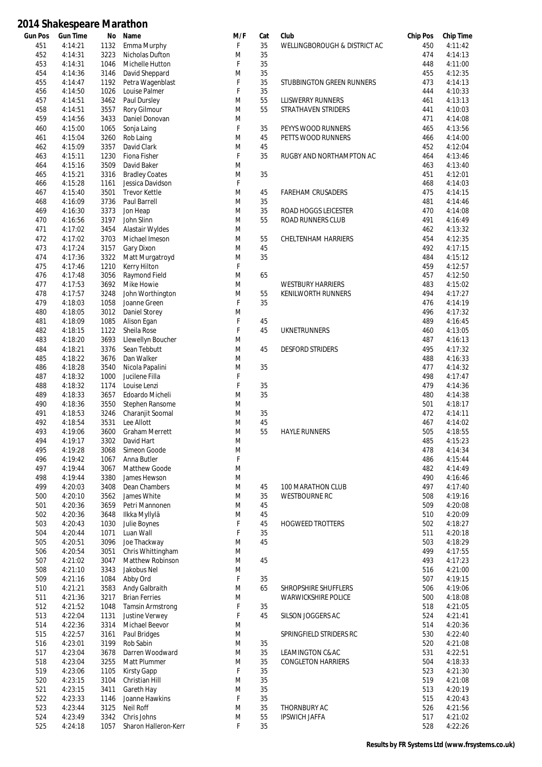| <b>Gun Pos</b> | <b>Gun Time</b> | No   | Name                    | M/F | Cat | Club                         | <b>Chip Pos</b> | <b>Chip Time</b> |
|----------------|-----------------|------|-------------------------|-----|-----|------------------------------|-----------------|------------------|
| 451            | 4:14:21         | 1132 | Emma Murphy             | F   | 35  | WELLINGBOROUGH & DISTRICT AC | 450             | 4:11:42          |
| 452            | 4:14:31         | 3223 | Nicholas Dufton         | M   | 35  |                              | 474             | 4:14:13          |
| 453            | 4:14:31         | 1046 | Michelle Hutton         | F   | 35  |                              | 448             | 4:11:00          |
| 454            | 4:14:36         | 3146 | David Sheppard          | M   | 35  |                              | 455             | 4:12:35          |
| 455            | 4:14:47         | 1192 | Petra Wagenblast        | F   | 35  | STUBBINGTON GREEN RUNNERS    | 473             | 4:14:13          |
|                |                 | 1026 |                         | F   | 35  |                              | 444             | 4:10:33          |
| 456            | 4:14:50         |      | Louise Palmer           |     |     |                              |                 |                  |
| 457            | 4:14:51         | 3462 | Paul Dursley            | M   | 55  | LLISWERRY RUNNERS            | 461             | 4:13:13          |
| 458            | 4:14:51         | 3557 | Rory Gilmour            | M   | 55  | STRATHAVEN STRIDERS          | 441             | 4:10:03          |
| 459            | 4:14:56         | 3433 | Daniel Donovan          | M   |     |                              | 471             | 4:14:08          |
| 460            | 4:15:00         | 1065 | Sonja Laing             | F   | 35  | PEYYS WOOD RUNNERS           | 465             | 4:13:56          |
| 461            | 4:15:04         | 3260 | Rob Laing               | M   | 45  | PETTS WOOD RUNNERS           | 466             | 4:14:00          |
| 462            | 4:15:09         | 3357 | David Clark             | M   | 45  |                              | 452             | 4:12:04          |
|                |                 |      |                         |     |     |                              |                 |                  |
| 463            | 4:15:11         | 1230 | Fiona Fisher            | F   | 35  | RUGBY AND NORTHAMPTON AC     | 464             | 4:13:46          |
| 464            | 4:15:16         | 3509 | David Baker             | M   |     |                              | 463             | 4:13:40          |
| 465            | 4:15:21         | 3316 | <b>Bradley Coates</b>   | M   | 35  |                              | 451             | 4:12:01          |
| 466            | 4:15:28         | 1161 | Jessica Davidson        | F   |     |                              | 468             | 4:14:03          |
| 467            | 4:15:40         | 3501 | <b>Trevor Kettle</b>    | M   | 45  | <b>FAREHAM CRUSADERS</b>     | 475             | 4:14:15          |
| 468            | 4:16:09         | 3736 | Paul Barrell            | M   | 35  |                              | 481             | 4:14:46          |
|                | 4:16:30         | 3373 | Jon Heap                | M   | 35  |                              | 470             | 4:14:08          |
| 469            |                 |      |                         |     |     | ROAD HOGGS LEICESTER         |                 |                  |
| 470            | 4:16:56         | 3197 | John Slinn              | M   | 55  | <b>ROAD RUNNERS CLUB</b>     | 491             | 4:16:49          |
| 471            | 4:17:02         | 3454 | Alastair Wyldes         | M   |     |                              | 462             | 4:13:32          |
| 472            | 4:17:02         | 3703 | Michael Imeson          | M   | 55  | <b>CHELTENHAM HARRIERS</b>   | 454             | 4:12:35          |
| 473            | 4:17:24         | 3157 | Gary Dixon              | M   | 45  |                              | 492             | 4:17:15          |
| 474            | 4:17:36         | 3322 | Matt Murgatroyd         | M   | 35  |                              | 484             | 4:15:12          |
| 475            | 4:17:46         | 1210 | Kerry Hilton            | F   |     |                              | 459             | 4:12:57          |
|                |                 |      |                         |     |     |                              |                 |                  |
| 476            | 4:17:48         | 3056 | Raymond Field           | M   | 65  |                              | 457             | 4:12:50          |
| 477            | 4:17:53         | 3692 | Mike Howie              | M   |     | <b>WESTBURY HARRIERS</b>     | 483             | 4:15:02          |
| 478            | 4:17:57         | 3248 | John Worthington        | M   | 55  | <b>KENILWORTH RUNNERS</b>    | 494             | 4:17:27          |
| 479            | 4:18:03         | 1058 | Joanne Green            | F   | 35  |                              | 476             | 4:14:19          |
| 480            | 4:18:05         | 3012 | Daniel Storey           | M   |     |                              | 496             | 4:17:32          |
| 481            | 4:18:09         | 1085 | Alison Egan             | F   | 45  |                              | 489             | 4:16:45          |
| 482            | 4:18:15         | 1122 | Sheila Rose             | F   | 45  | <b>UKNETRUNNERS</b>          | 460             | 4:13:05          |
|                |                 |      |                         |     |     |                              |                 |                  |
| 483            | 4:18:20         | 3693 | Llewellyn Boucher       | M   |     |                              | 487             | 4:16:13          |
| 484            | 4:18:21         | 3376 | Sean Tebbutt            | M   | 45  | <b>DESFORD STRIDERS</b>      | 495             | 4:17:32          |
| 485            | 4:18:22         | 3676 | Dan Walker              | M   |     |                              | 488             | 4:16:33          |
| 486            | 4:18:28         | 3540 | Nicola Papalini         | M   | 35  |                              | 477             | 4:14:32          |
| 487            | 4:18:32         | 1000 | Jucilene Filla          | F   |     |                              | 498             | 4:17:47          |
| 488            | 4:18:32         | 1174 | Louise Lenzi            | F   | 35  |                              | 479             | 4:14:36          |
| 489            | 4:18:33         | 3657 | Edoardo Micheli         | M   | 35  |                              | 480             | 4:14:38          |
|                |                 |      |                         |     |     |                              |                 |                  |
| 490            | 4:18:36         | 3550 | Stephen Ransome         | M   |     |                              | 501             | 4:18:17          |
| 491            | 4:18:53         | 3246 | Charanjit Soomal        | M   | 35  |                              | 472             | 4:14:11          |
| 492            | 4:18:54         | 3531 | Lee Allott              | M   | 45  |                              | 467             | 4:14:02          |
| 493            | 4:19:06         | 3600 | <b>Graham Merrett</b>   | M   | 55  | <b>HAYLE RUNNERS</b>         | 505             | 4:18:55          |
| 494            | 4:19:17         | 3302 | David Hart              | M   |     |                              | 485             | 4:15:23          |
| 495            | 4:19:28         | 3068 | Simeon Goode            | M   |     |                              | 478             | 4:14:34          |
| 496            | 4:19:42         | 1067 | Anna Butler             | F   |     |                              | 486             | 4:15:44          |
|                |                 |      |                         |     |     |                              |                 |                  |
| 497            | 4:19:44         | 3067 | Matthew Goode           | M   |     |                              | 482             | 4:14:49          |
| 498            | 4:19:44         | 3380 | James Hewson            | M   |     |                              | 490             | 4:16:46          |
| 499            | 4:20:03         | 3408 | Dean Chambers           | M   | 45  | 100 MARATHON CLUB            | 497             | 4:17:40          |
| 500            | 4:20:10         | 3562 | James White             | M   | 35  | <b>WESTBOURNE RC</b>         | 508             | 4:19:16          |
| 501            | 4:20:36         | 3659 | Petri Mannonen          | M   | 45  |                              | 509             | 4:20:08          |
| 502            | 4:20:36         | 3648 | Ilkka Myllylä           | M   | 45  |                              | 510             | 4:20:09          |
| 503            | 4:20:43         | 1030 | Julie Boynes            | F   | 45  | <b>HOGWEED TROTTERS</b>      | 502             | 4:18:27          |
|                | 4:20:44         |      |                         | F   |     |                              |                 |                  |
| 504            |                 | 1071 | Luan Wall               |     | 35  |                              | 511             | 4:20:18          |
| 505            | 4:20:51         | 3096 | Joe Thackway            | M   | 45  |                              | 503             | 4:18:29          |
| 506            | 4:20:54         | 3051 | Chris Whittingham       | M   |     |                              | 499             | 4:17:55          |
| 507            | 4:21:02         | 3047 | Matthew Robinson        | M   | 45  |                              | 493             | 4:17:23          |
| 508            | 4:21:10         | 3343 | Jakobus Nel             | M   |     |                              | 516             | 4:21:00          |
| 509            | 4:21:16         | 1084 | Abby Ord                | F   | 35  |                              | 507             | 4:19:15          |
| 510            | 4:21:21         | 3583 | Andy Galbraith          | M   | 65  | SHROPSHIRE SHUFFLERS         | 506             | 4:19:06          |
|                |                 |      |                         |     |     |                              |                 |                  |
| 511            | 4:21:36         | 3217 | <b>Brian Ferries</b>    | M   |     | <b>WARWICKSHIRE POLICE</b>   | 500             | 4:18:08          |
| 512            | 4:21:52         | 1048 | <b>Tamsin Armstrong</b> | F   | 35  |                              | 518             | 4:21:05          |
| 513            | 4:22:04         | 1131 | Justine Verwey          | F   | 45  | SILSON JOGGERS AC            | 524             | 4:21:41          |
| 514            | 4:22:36         | 3314 | Michael Beevor          | M   |     |                              | 514             | 4:20:36          |
| 515            | 4:22:57         | 3161 | Paul Bridges            | M   |     | SPRINGFIELD STRIDERS RC      | 530             | 4:22:40          |
| 516            | 4:23:01         | 3199 | Rob Sabin               | M   | 35  |                              | 520             | 4:21:08          |
| 517            | 4:23:04         | 3678 | Darren Woodward         | M   | 35  | LEAMINGTON C&AC              | 531             | 4:22:51          |
| 518            | 4:23:04         | 3255 |                         | M   | 35  | <b>CONGLETON HARRIERS</b>    | 504             | 4:18:33          |
|                |                 |      | Matt Plummer            |     |     |                              |                 |                  |
| 519            | 4:23:06         | 1105 | Kirsty Gapp             | F   | 35  |                              | 523             | 4:21:30          |
| 520            | 4:23:15         | 3104 | Christian Hill          | M   | 35  |                              | 519             | 4:21:08          |
| 521            | 4:23:15         | 3411 | Gareth Hay              | M   | 35  |                              | 513             | 4:20:19          |
| 522            | 4:23:33         | 1146 | Joanne Hawkins          | F   | 35  |                              | 515             | 4:20:43          |
| 523            | 4:23:44         | 3125 | Neil Roff               | M   | 35  | THORNBURY AC                 | 526             | 4:21:56          |
| 524            | 4:23:49         | 3342 | Chris Johns             | M   | 55  | <b>IPSWICH JAFFA</b>         | 517             | 4:21:02          |
| 525            | 4:24:18         | 1057 | Sharon Halleron-Kerr    | F   | 35  |                              | 528             | 4:22:26          |
|                |                 |      |                         |     |     |                              |                 |                  |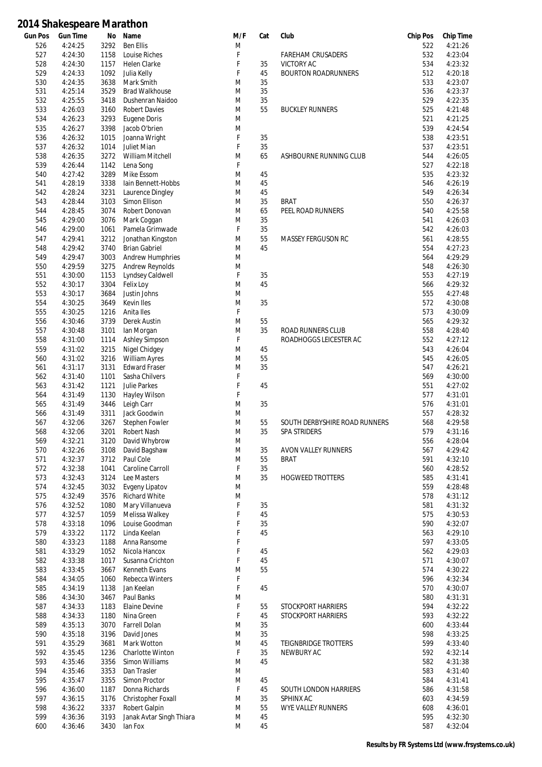| <b>Gun Pos</b> | <b>Gun Time</b> | No   | Name                     | M/F | Cat | Club                          | <b>Chip Pos</b> | <b>Chip Time</b> |
|----------------|-----------------|------|--------------------------|-----|-----|-------------------------------|-----------------|------------------|
| 526            | 4:24:25         | 3292 | <b>Ben Ellis</b>         | M   |     |                               | 522             | 4:21:26          |
| 527            | 4:24:30         | 1158 | Louise Riches            | F   |     | <b>FAREHAM CRUSADERS</b>      | 532             | 4:23:04          |
| 528            | 4:24:30         | 1157 | <b>Helen Clarke</b>      | F   | 35  | VICTORY AC                    | 534             | 4:23:32          |
| 529            | 4:24:33         | 1092 | Julia Kelly              | F   | 45  | <b>BOURTON ROADRUNNERS</b>    | 512             | 4:20:18          |
| 530            | 4:24:35         | 3638 | Mark Smith               | M   | 35  |                               | 533             | 4:23:07          |
| 531            | 4:25:14         | 3529 | <b>Brad Walkhouse</b>    | M   | 35  |                               | 536             | 4:23:37          |
| 532            | 4:25:55         | 3418 | Dushenran Naidoo         | M   | 35  |                               | 529             | 4:22:35          |
| 533            | 4:26:03         | 3160 | <b>Robert Davies</b>     | M   | 55  | <b>BUCKLEY RUNNERS</b>        | 525             | 4:21:48          |
| 534            | 4:26:23         | 3293 | Eugene Doris             | M   |     |                               | 521             | 4:21:25          |
| 535            | 4:26:27         | 3398 | Jacob O'brien            | M   |     |                               | 539             | 4:24:54          |
| 536            | 4:26:32         | 1015 | Joanna Wright            | F   | 35  |                               | 538             | 4:23:51          |
| 537            | 4:26:32         | 1014 | Juliet Mian              | F   | 35  |                               | 537             | 4:23:51          |
| 538            | 4:26:35         | 3272 | William Mitchell         | M   | 65  | ASHBOURNE RUNNING CLUB        | 544             | 4:26:05          |
| 539            | 4:26:44         | 1142 | Lena Song                | F   |     |                               | 527             | 4:22:18          |
| 540            | 4:27:42         | 3289 | Mike Essom               | M   | 45  |                               | 535             | 4:23:32          |
| 541            | 4:28:19         | 3338 | lain Bennett-Hobbs       | M   | 45  |                               | 546             | 4:26:19          |
| 542            | 4:28:24         | 3231 | Laurence Dingley         | M   | 45  |                               | 549             | 4:26:34          |
| 543            | 4:28:44         | 3103 | Simon Ellison            | M   | 35  | <b>BRAT</b>                   | 550             | 4:26:37          |
| 544            | 4:28:45         | 3074 | Robert Donovan           | M   | 65  | PEEL ROAD RUNNERS             | 540             | 4:25:58          |
| 545            | 4:29:00         | 3076 | Mark Coggan              | M   | 35  |                               | 541             | 4:26:03          |
| 546            | 4:29:00         | 1061 | Pamela Grimwade          | F   | 35  |                               | 542             | 4:26:03          |
| 547            | 4:29:41         | 3212 | Jonathan Kingston        | M   | 55  | <b>MASSEY FERGUSON RC</b>     | 561             | 4:28:55          |
| 548            | 4:29:42         | 3740 | <b>Brian Gabriel</b>     | M   | 45  |                               | 554             | 4:27:23          |
| 549            | 4:29:47         | 3003 | <b>Andrew Humphries</b>  | M   |     |                               | 564             | 4:29:29          |
| 550            | 4:29:59         | 3275 | <b>Andrew Reynolds</b>   | M   |     |                               | 548             | 4:26:30          |
| 551            | 4:30:00         | 1153 | Lyndsey Caldwell         | F   | 35  |                               | 553             | 4:27:19          |
| 552            | 4:30:17         | 3304 | Felix Loy                | M   | 45  |                               | 566             | 4:29:32          |
| 553            | 4:30:17         | 3684 | Justin Johns             | M   |     |                               | 555             | 4:27:48          |
| 554            | 4:30:25         | 3649 | Kevin Iles               | M   | 35  |                               | 572             | 4:30:08          |
| 555            | 4:30:25         | 1216 | Anita Iles               | F   |     |                               | 573             | 4:30:09          |
| 556            | 4:30:46         | 3739 | Derek Austin             | M   | 55  |                               | 565             | 4:29:32          |
| 557            | 4:30:48         | 3101 | lan Morgan               | M   | 35  | ROAD RUNNERS CLUB             | 558             | 4:28:40          |
| 558            | 4:31:00         | 1114 | <b>Ashley Simpson</b>    | F   |     | ROADHOGGS LEICESTER AC        | 552             | 4:27:12          |
| 559            | 4:31:02         | 3215 | Nigel Chidgey            | M   | 45  |                               | 543             | 4:26:04          |
| 560            | 4:31:02         | 3216 | William Ayres            | M   | 55  |                               | 545             | 4:26:05          |
| 561            | 4:31:17         | 3131 | <b>Edward Fraser</b>     | M   | 35  |                               | 547             | 4:26:21          |
| 562            | 4:31:40         | 1101 | Sasha Chilvers           | F   |     |                               | 569             | 4:30:00          |
| 563            | 4:31:42         | 1121 | <b>Julie Parkes</b>      | F   | 45  |                               | 551             | 4:27:02          |
| 564            | 4:31:49         | 1130 | Hayley Wilson            | F   |     |                               | 577             | 4:31:01          |
| 565            | 4:31:49         | 3446 | Leigh Carr               | M   | 35  |                               | 576             | 4:31:01          |
| 566            | 4:31:49         | 3311 | Jack Goodwin             | M   |     |                               | 557             | 4:28:32          |
| 567            | 4:32:06         | 3267 | Stephen Fowler           | M   | 55  | SOUTH DERBYSHIRE ROAD RUNNERS | 568             | 4:29:58          |
| 568            | 4:32:06         | 3201 | Robert Nash              | M   | 35  | <b>SPA STRIDERS</b>           | 579             | 4:31:16          |
| 569            | 4:32:21         | 3120 | David Whybrow            | M   |     |                               | 556             | 4:28:04          |
| 570            | 4:32:26         | 3108 | David Bagshaw            | M   | 35  | AVON VALLEY RUNNERS           | 567             | 4:29:42          |
| 571            | 4:32:37         | 3712 | Paul Cole                | M   | 55  | <b>BRAT</b>                   | 591             | 4:32:10          |
| 572            | 4:32:38         | 1041 | Caroline Carroll         | F   | 35  |                               | 560             | 4:28:52          |
| 573            | 4:32:43         | 3124 | Lee Masters              | M   | 35  | <b>HOGWEED TROTTERS</b>       | 585             | 4:31:41          |
| 574            | 4:32:45         | 3032 | Evgeny Lipatov           | M   |     |                               | 559             | 4:28:48          |
| 575            | 4:32:49         | 3576 | <b>Richard White</b>     | M   |     |                               | 578             | 4:31:12          |
| 576            | 4:32:52         | 1080 | Mary Villanueva          | F   | 35  |                               | 581             | 4:31:32          |
| 577            | 4:32:57         | 1059 | Melissa Walkey           | F   | 45  |                               | 575             | 4:30:53          |
| 578            | 4:33:18         | 1096 | Louise Goodman           | F   | 35  |                               | 590             | 4:32:07          |
| 579            | 4:33:22         | 1172 | Linda Keelan             | F   | 45  |                               | 563             | 4:29:10          |
| 580            | 4:33:23         | 1188 | Anna Ransome             | F   |     |                               | 597             | 4:33:05          |
| 581            | 4:33:29         | 1052 | Nicola Hancox            | F   | 45  |                               | 562             | 4:29:03          |
| 582            | 4:33:38         | 1017 | Susanna Crichton         | F   | 45  |                               | 571             | 4:30:07          |
| 583            | 4:33:45         | 3667 | Kenneth Evans            | M   | 55  |                               | 574             | 4:30:22          |
| 584            | 4:34:05         | 1060 | Rebecca Winters          | F   |     |                               | 596             | 4:32:34          |
| 585            | 4:34:19         | 1138 | Jan Keelan               | F   | 45  |                               | 570             | 4:30:07          |
| 586            | 4:34:30         | 3467 | Paul Banks               | M   |     |                               | 580             | 4:31:31          |
| 587            | 4:34:33         | 1183 | Elaine Devine            | F   | 55  | STOCKPORT HARRIERS            | 594             | 4:32:22          |
| 588            | 4:34:33         | 1180 | Nina Green               | F   | 45  | STOCKPORT HARRIERS            | 593             | 4:32:22          |
| 589            | 4:35:13         | 3070 | <b>Farrell Dolan</b>     | M   | 35  |                               | 600             | 4:33:44          |
| 590            | 4:35:18         | 3196 | David Jones              | M   | 35  |                               | 598             | 4:33:25          |
| 591            | 4:35:29         | 3681 | Mark Wotton              | M   | 45  | TEIGNBRIDGE TROTTERS          | 599             | 4:33:40          |
| 592            | 4:35:45         | 1236 | <b>Charlotte Winton</b>  | F   | 35  | NEWBURY AC                    | 592             | 4:32:14          |
| 593            | 4:35:46         | 3356 | Simon Williams           | M   | 45  |                               | 582             | 4:31:38          |
| 594            | 4:35:46         | 3353 | Dan Trasler              | M   |     |                               | 583             | 4:31:40          |
| 595            | 4:35:47         | 3355 | Simon Proctor            | M   | 45  |                               | 584             | 4:31:41          |
| 596            | 4:36:00         | 1187 | Donna Richards           | F   | 45  | SOUTH LONDON HARRIERS         | 586             | 4:31:58          |
| 597            | 4:36:15         | 3176 | Christopher Foxall       | M   | 35  | SPHINX AC                     | 603             | 4:34:59          |
| 598            | 4:36:22         | 3337 | Robert Galpin            | M   | 55  | <b>WYE VALLEY RUNNERS</b>     | 608             | 4:36:01          |
| 599            | 4:36:36         | 3193 | Janak Avtar Singh Thiara | M   | 45  |                               | 595             | 4:32:30          |
| 600            | 4:36:46         | 3430 | lan Fox                  | M   | 45  |                               | 587             | 4:32:04          |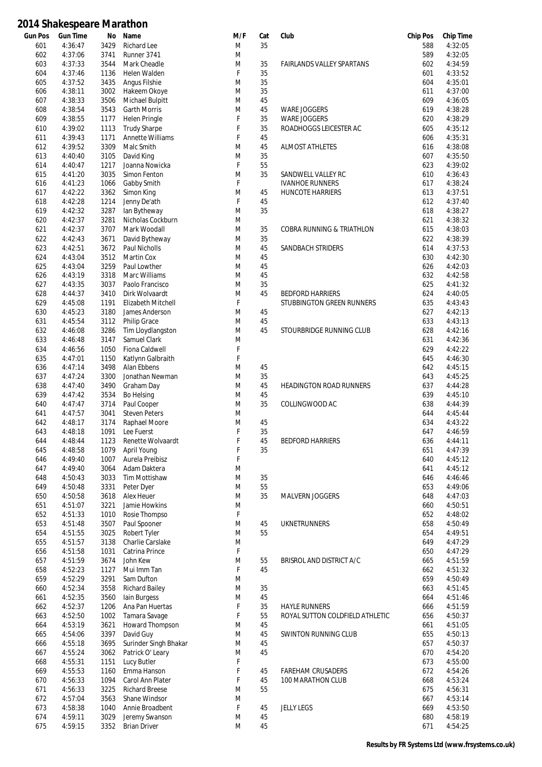| <b>Gun Pos</b> | <b>Gun Time</b>    | No           | Name                         | M/F    | Cat      | Club                                 | <b>Chip Pos</b> | <b>Chip Time</b>   |
|----------------|--------------------|--------------|------------------------------|--------|----------|--------------------------------------|-----------------|--------------------|
| 601            | 4:36:47            | 3429         | Richard Lee                  | M      | 35       |                                      | 588             | 4:32:05            |
| 602            | 4:37:06            | 3741         | Runner 3741                  | M      |          |                                      | 589             | 4:32:05            |
| 603            | 4:37:33            | 3544         | Mark Cheadle                 | M      | 35       | <b>FAIRLANDS VALLEY SPARTANS</b>     | 602             | 4:34:59            |
| 604            | 4:37:46            | 1136         | Helen Walden                 | F      | 35       |                                      | 601             | 4:33:52            |
| 605            | 4:37:52            | 3435         | Angus Filshie                | M      | 35       |                                      | 604             | 4:35:01            |
| 606            | 4:38:11            | 3002         | Hakeem Okoye                 | M      | 35       |                                      | 611             | 4:37:00            |
| 607            | 4:38:33            | 3506         | Michael Bulpitt              | M      | 45       |                                      | 609             | 4:36:05            |
| 608            | 4:38:54            | 3543         | <b>Garth Morris</b>          | M      | 45       | <b>WARE JOGGERS</b>                  | 619             | 4:38:28            |
| 609            | 4:38:55            | 1177         | <b>Helen Pringle</b>         | F      | 35       | <b>WARE JOGGERS</b>                  | 620             | 4:38:29            |
| 610            | 4:39:02            | 1113         | <b>Trudy Sharpe</b>          | F      | 35       | ROADHOGGS LEICESTER AC               | 605             | 4:35:12            |
| 611            | 4:39:43            | 1171         | Annette Williams             | F      | 45       |                                      | 606             | 4:35:31            |
| 612            | 4:39:52<br>4:40:40 | 3309         | Malc Smith                   | M      | 45       | <b>ALMOST ATHLETES</b>               | 616             | 4:38:08            |
| 613            |                    | 3105         | David King<br>Joanna Nowicka | M<br>F | 35<br>55 |                                      | 607<br>623      | 4:35:50            |
| 614<br>615     | 4:40:47<br>4:41:20 | 1217<br>3035 | Simon Fenton                 | M      | 35       | SANDWELL VALLEY RC                   | 610             | 4:39:02<br>4:36:43 |
| 616            | 4:41:23            | 1066         | Gabby Smith                  | F      |          | <b>IVANHOE RUNNERS</b>               | 617             | 4:38:24            |
| 617            | 4:42:22            | 3362         | Simon King                   | M      | 45       | HUNCOTE HARRIERS                     | 613             | 4:37:51            |
| 618            | 4:42:28            | 1214         | Jenny De'ath                 | F      | 45       |                                      | 612             | 4:37:40            |
| 619            | 4:42:32            | 3287         | lan Bytheway                 | M      | 35       |                                      | 618             | 4:38:27            |
| 620            | 4:42:37            | 3281         | Nicholas Cockburn            | M      |          |                                      | 621             | 4:38:32            |
| 621            | 4:42:37            | 3707         | Mark Woodall                 | M      | 35       | <b>COBRA RUNNING &amp; TRIATHLON</b> | 615             | 4:38:03            |
| 622            | 4:42:43            | 3671         | David Bytheway               | M      | 35       |                                      | 622             | 4:38:39            |
| 623            | 4:42:51            | 3672         | <b>Paul Nicholls</b>         | M      | 45       | SANDBACH STRIDERS                    | 614             | 4:37:53            |
| 624            | 4:43:04            | 3512         | Martin Cox                   | M      | 45       |                                      | 630             | 4:42:30            |
| 625            | 4:43:04            | 3259         | Paul Lowther                 | M      | 45       |                                      | 626             | 4:42:03            |
| 626            | 4:43:19            | 3318         | Marc Williams                | M      | 45       |                                      | 632             | 4:42:58            |
| 627            | 4:43:35            | 3037         | Paolo Francisco              | M      | 35       |                                      | 625             | 4:41:32            |
| 628            | 4:44:37            | 3410         | Dirk Wolvaardt               | M      | 45       | <b>BEDFORD HARRIERS</b>              | 624             | 4:40:05            |
| 629            | 4:45:08            | 1191         | Elizabeth Mitchell           | F      |          | STUBBINGTON GREEN RUNNERS            | 635             | 4:43:43            |
| 630            | 4:45:23            | 3180         | James Anderson               | M      | 45       |                                      | 627             | 4:42:13            |
| 631            | 4:45:54            | 3112         | Philip Grace                 | M      | 45       |                                      | 633             | 4:43:13            |
| 632            | 4:46:08            | 3286         | Tim Lloydlangston            | M      | 45       | STOURBRIDGE RUNNING CLUB             | 628             | 4:42:16            |
| 633            | 4:46:48            | 3147         | Samuel Clark                 | M      |          |                                      | 631             | 4:42:36            |
| 634            | 4:46:56            | 1050         | Fiona Caldwell               | F      |          |                                      | 629             | 4:42:22            |
| 635            | 4:47:01            | 1150         | Katlynn Galbraith            | F      |          |                                      | 645             | 4:46:30            |
| 636            | 4:47:14            | 3498         | Alan Ebbens                  | M      | 45       |                                      | 642             | 4:45:15            |
| 637            | 4:47:24            | 3300         | Jonathan Newman              | M      | 35       |                                      | 643             | 4:45:25            |
| 638            | 4:47:40            | 3490         | Graham Day                   | M      | 45       | <b>HEADINGTON ROAD RUNNERS</b>       | 637             | 4:44:28            |
| 639            | 4:47:42            | 3534         | Bo Helsing                   | M      | 45       |                                      | 639             | 4:45:10            |
| 640            | 4:47:47            | 3714         | Paul Cooper                  | M      | 35       | COLLINGWOOD AC                       | 638             | 4:44:39            |
| 641            | 4:47:57            | 3041         | <b>Steven Peters</b>         | M      |          |                                      | 644             | 4:45:44            |
| 642            | 4:48:17            | 3174         | Raphael Moore                | M      | 45       |                                      | 634             | 4:43:22            |
| 643            | 4:48:18            | 1091         | Lee Fuerst                   | F      | 35       |                                      | 647             | 4:46:59            |
| 644            | 4:48:44            | 1123         | Renette Wolvaardt            | F      | 45       | <b>BEDFORD HARRIERS</b>              | 636             | 4:44:11            |
| 645            | 4:48:58            | 1079         | April Young                  | F      | 35       |                                      | 651             | 4:47:39            |
| 646            | 4:49:40            | 1007         | Aurela Preibisz              | F      |          |                                      | 640             | 4:45:12            |
| 647            | 4:49:40            | 3064         | Adam Daktera                 | M      |          |                                      | 641             | 4:45:12            |
| 648            | 4:50:43            | 3033         | <b>Tim Mottishaw</b>         | M      | 35       |                                      | 646             | 4:46:46            |
| 649<br>650     | 4:50:48<br>4:50:58 | 3331<br>3618 | Peter Dyer<br>Alex Heuer     | M<br>M | 55<br>35 | MALVERN JOGGERS                      | 653<br>648      | 4:49:06<br>4:47:03 |
| 651            | 4:51:07            | 3221         | Jamie Howkins                | M      |          |                                      | 660             | 4:50:51            |
| 652            | 4:51:33            | 1010         | Rosie Thompso                | F      |          |                                      | 652             | 4:48:02            |
| 653            | 4:51:48            | 3507         | Paul Spooner                 | M      | 45       | <b>UKNETRUNNERS</b>                  | 658             | 4:50:49            |
| 654            | 4:51:55            | 3025         | Robert Tyler                 | M      | 55       |                                      | 654             | 4:49:51            |
| 655            | 4:51:57            | 3138         | Charlie Carslake             | M      |          |                                      | 649             | 4:47:29            |
| 656            | 4:51:58            | 1031         | Catrina Prince               | F      |          |                                      | 650             | 4:47:29            |
| 657            | 4:51:59            | 3674         | John Kew                     | M      | 55       | BRISROL AND DISTRICT A/C             | 665             | 4:51:59            |
| 658            | 4:52:23            | 1127         | Mui Imm Tan                  | F      | 45       |                                      | 662             | 4:51:32            |
| 659            | 4:52:29            | 3291         | Sam Dufton                   | M      |          |                                      | 659             | 4:50:49            |
| 660            | 4:52:34            | 3558         | <b>Richard Bailey</b>        | M      | 35       |                                      | 663             | 4:51:45            |
| 661            | 4:52:35            | 3560         | lain Burgess                 | M      | 45       |                                      | 664             | 4:51:46            |
| 662            | 4:52:37            | 1206         | Ana Pan Huertas              | F      | 35       | <b>HAYLE RUNNERS</b>                 | 666             | 4:51:59            |
| 663            | 4:52:50            | 1002         | Tamara Savage                | F      | 55       | ROYAL SUTTON COLDFIELD ATHLETIC      | 656             | 4:50:37            |
| 664            | 4:53:19            | 3621         | Howard Thompson              | M      | 45       |                                      | 661             | 4:51:05            |
| 665            | 4:54:06            | 3397         | David Guy                    | M      | 45       | <b>SWINTON RUNNING CLUB</b>          | 655             | 4:50:13            |
| 666            | 4:55:18            | 3695         | Surinder Singh Bhakar        | M      | 45       |                                      | 657             | 4:50:37            |
| 667            | 4:55:24            | 3062         | Patrick O' Leary             | M      | 45       |                                      | 670             | 4:54:20            |
| 668            | 4:55:31            | 1151         | Lucy Butler                  | F      |          |                                      | 673             | 4:55:00            |
| 669            | 4:55:53            | 1160         | Emma Hanson                  | F      | 45       | <b>FAREHAM CRUSADERS</b>             | 672             | 4:54:26            |
| 670            | 4:56:33            | 1094         | Carol Ann Plater             | F      | 45       | 100 MARATHON CLUB                    | 668             | 4:53:24            |
| 671            | 4:56:33            | 3225         | <b>Richard Breese</b>        | M      | 55       |                                      | 675             | 4:56:31            |
| 672            | 4:57:04            | 3563         | Shane Windsor                | M      |          |                                      | 667             | 4:53:14            |
| 673            | 4:58:38            | 1040         | Annie Broadbent              | F      | 45       | <b>JELLY LEGS</b>                    | 669             | 4:53:50            |
| 674            | 4:59:11            | 3029         | Jeremy Swanson               | M      | 45       |                                      | 680             | 4:58:19            |
| 675            | 4:59:15            | 3352         | <b>Brian Driver</b>          | M      | 45       |                                      | 671             | 4:54:25            |